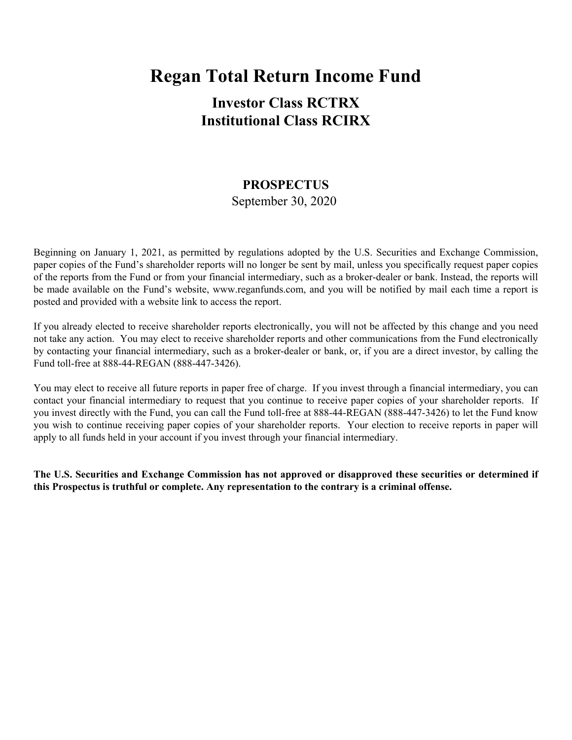# **Regan Total Return Income Fund**

# **Investor Class RCTRX Institutional Class RCIRX**

# **PROSPECTUS**

September 30, 2020

Beginning on January 1, 2021, as permitted by regulations adopted by the U.S. Securities and Exchange Commission, paper copies of the Fund's shareholder reports will no longer be sent by mail, unless you specifically request paper copies of the reports from the Fund or from your financial intermediary, such as a broker-dealer or bank. Instead, the reports will be made available on the Fund's website, www.reganfunds.com, and you will be notified by mail each time a report is posted and provided with a website link to access the report.

If you already elected to receive shareholder reports electronically, you will not be affected by this change and you need not take any action. You may elect to receive shareholder reports and other communications from the Fund electronically by contacting your financial intermediary, such as a broker-dealer or bank, or, if you are a direct investor, by calling the Fund toll-free at 888-44-REGAN (888-447-3426).

You may elect to receive all future reports in paper free of charge. If you invest through a financial intermediary, you can contact your financial intermediary to request that you continue to receive paper copies of your shareholder reports. If you invest directly with the Fund, you can call the Fund toll-free at 888-44-REGAN (888-447-3426) to let the Fund know you wish to continue receiving paper copies of your shareholder reports. Your election to receive reports in paper will apply to all funds held in your account if you invest through your financial intermediary.

**The U.S. Securities and Exchange Commission has not approved or disapproved these securities or determined if this Prospectus is truthful or complete. Any representation to the contrary is a criminal offense.**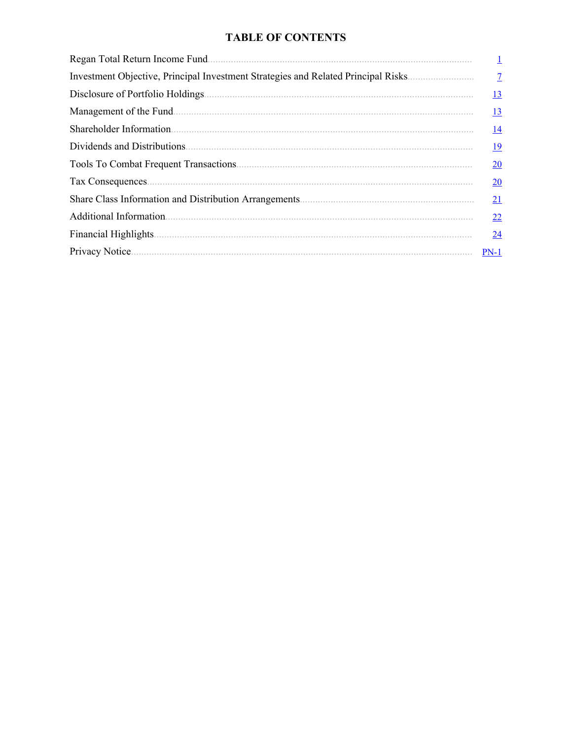## **TABLE OF CONTENTS**

| Regan Total Return Income Fund.                                                   |                 |
|-----------------------------------------------------------------------------------|-----------------|
| Investment Objective, Principal Investment Strategies and Related Principal Risks |                 |
| Disclosure of Portfolio Holdings                                                  | <u>13</u>       |
| Management of the Fund.                                                           | <u>13</u>       |
| Shareholder Information.                                                          | <u>14</u>       |
| Dividends and Distributions.                                                      | <u>19</u>       |
|                                                                                   | 20              |
|                                                                                   | $\overline{20}$ |
|                                                                                   | 21              |
| Additional Information.                                                           | 22              |
| Financial Highlights                                                              | 24              |
| Privacy Notice.                                                                   | $PN-1$          |
|                                                                                   |                 |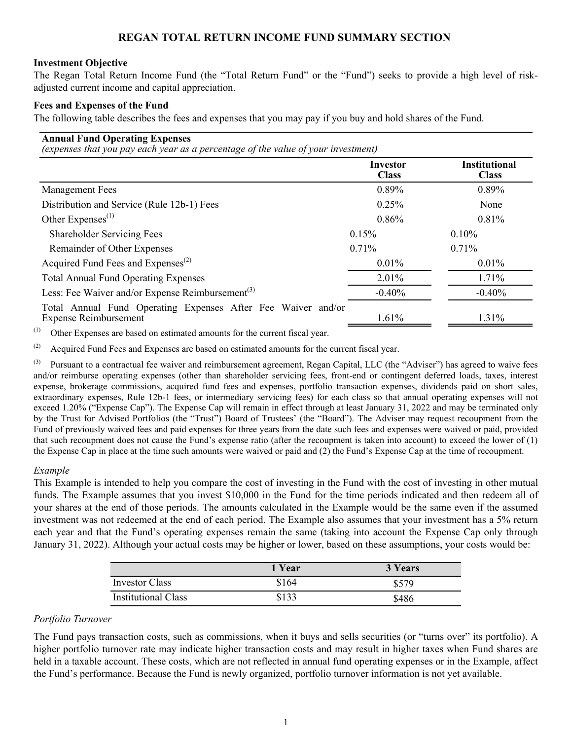## **REGAN TOTAL RETURN INCOME FUND SUMMARY SECTION**

#### <span id="page-2-0"></span>**Investment Objective**

The Regan Total Return Income Fund (the "Total Return Fund" or the "Fund") seeks to provide a high level of riskadjusted current income and capital appreciation.

#### **Fees and Expenses of the Fund**

The following table describes the fees and expenses that you may pay if you buy and hold shares of the Fund.

## **Annual Fund Operating Expenses**

*(expenses that you pay each year as a percentage of the value of your investment)*

|                                                                                              | Investor<br><b>Class</b> | <b>Institutional</b><br><b>Class</b> |
|----------------------------------------------------------------------------------------------|--------------------------|--------------------------------------|
| <b>Management Fees</b>                                                                       | 0.89%                    | 0.89%                                |
| Distribution and Service (Rule 12b-1) Fees                                                   | 0.25%                    | None                                 |
| Other Expenses $^{(1)}$                                                                      | 0.86%                    | 0.81%                                |
| <b>Shareholder Servicing Fees</b>                                                            | 0.15%                    | 0.10%                                |
| Remainder of Other Expenses                                                                  | $0.71\%$                 | 0.71%                                |
| Acquired Fund Fees and Expenses <sup>(2)</sup>                                               | 0.01%                    | $0.01\%$                             |
| <b>Total Annual Fund Operating Expenses</b>                                                  | $2.01\%$                 | $1.71\%$                             |
| Less: Fee Waiver and/or Expense Reimbursement <sup>(3)</sup>                                 | $-0.40%$                 | $-0.40%$                             |
| Total Annual Fund Operating Expenses After Fee Waiver and/or<br><b>Expense Reimbursement</b> | 1.61%                    | 1.31%                                |

(1) Other Expenses are based on estimated amounts for the current fiscal year.

(2) Acquired Fund Fees and Expenses are based on estimated amounts for the current fiscal year.

 $^{(3)}$  Pursuant to a contractual fee waiver and reimbursement agreement, Regan Capital, LLC (the "Adviser") has agreed to waive fees and/or reimburse operating expenses (other than shareholder servicing fees, front-end or contingent deferred loads, taxes, interest expense, brokerage commissions, acquired fund fees and expenses, portfolio transaction expenses, dividends paid on short sales, extraordinary expenses, Rule 12b-1 fees, or intermediary servicing fees) for each class so that annual operating expenses will not exceed 1.20% ("Expense Cap"). The Expense Cap will remain in effect through at least January 31, 2022 and may be terminated only by the Trust for Advised Portfolios (the "Trust") Board of Trustees' (the "Board"). The Adviser may request recoupment from the Fund of previously waived fees and paid expenses for three years from the date such fees and expenses were waived or paid, provided that such recoupment does not cause the Fund's expense ratio (after the recoupment is taken into account) to exceed the lower of (1) the Expense Cap in place at the time such amounts were waived or paid and (2) the Fund's Expense Cap at the time of recoupment.

#### *Example*

This Example is intended to help you compare the cost of investing in the Fund with the cost of investing in other mutual funds. The Example assumes that you invest \$10,000 in the Fund for the time periods indicated and then redeem all of your shares at the end of those periods. The amounts calculated in the Example would be the same even if the assumed investment was not redeemed at the end of each period. The Example also assumes that your investment has a 5% return each year and that the Fund's operating expenses remain the same (taking into account the Expense Cap only through January 31, 2022). Although your actual costs may be higher or lower, based on these assumptions, your costs would be:

|                            | 1 Year | 3 Years |
|----------------------------|--------|---------|
| Investor Class             | \$164  | \$579   |
| <b>Institutional Class</b> | \$133  | \$486   |

#### *Portfolio Turnover*

The Fund pays transaction costs, such as commissions, when it buys and sells securities (or "turns over" its portfolio). A higher portfolio turnover rate may indicate higher transaction costs and may result in higher taxes when Fund shares are held in a taxable account. These costs, which are not reflected in annual fund operating expenses or in the Example, affect the Fund's performance. Because the Fund is newly organized, portfolio turnover information is not yet available.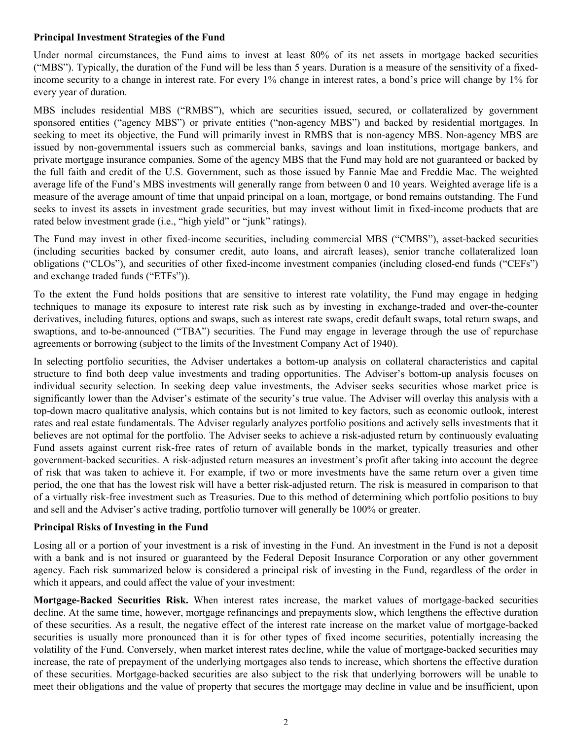#### **Principal Investment Strategies of the Fund**

Under normal circumstances, the Fund aims to invest at least 80% of its net assets in mortgage backed securities ("MBS"). Typically, the duration of the Fund will be less than 5 years. Duration is a measure of the sensitivity of a fixedincome security to a change in interest rate. For every 1% change in interest rates, a bond's price will change by 1% for every year of duration.

MBS includes residential MBS ("RMBS"), which are securities issued, secured, or collateralized by government sponsored entities ("agency MBS") or private entities ("non-agency MBS") and backed by residential mortgages. In seeking to meet its objective, the Fund will primarily invest in RMBS that is non-agency MBS. Non-agency MBS are issued by non-governmental issuers such as commercial banks, savings and loan institutions, mortgage bankers, and private mortgage insurance companies. Some of the agency MBS that the Fund may hold are not guaranteed or backed by the full faith and credit of the U.S. Government, such as those issued by Fannie Mae and Freddie Mac. The weighted average life of the Fund's MBS investments will generally range from between 0 and 10 years. Weighted average life is a measure of the average amount of time that unpaid principal on a loan, mortgage, or bond remains outstanding. The Fund seeks to invest its assets in investment grade securities, but may invest without limit in fixed-income products that are rated below investment grade (i.e., "high yield" or "junk" ratings).

The Fund may invest in other fixed-income securities, including commercial MBS ("CMBS"), asset-backed securities (including securities backed by consumer credit, auto loans, and aircraft leases), senior tranche collateralized loan obligations ("CLOs"), and securities of other fixed-income investment companies (including closed-end funds ("CEFs") and exchange traded funds ("ETFs")).

To the extent the Fund holds positions that are sensitive to interest rate volatility, the Fund may engage in hedging techniques to manage its exposure to interest rate risk such as by investing in exchange-traded and over-the-counter derivatives, including futures, options and swaps, such as interest rate swaps, credit default swaps, total return swaps, and swaptions, and to-be-announced ("TBA") securities. The Fund may engage in leverage through the use of repurchase agreements or borrowing (subject to the limits of the Investment Company Act of 1940).

In selecting portfolio securities, the Adviser undertakes a bottom-up analysis on collateral characteristics and capital structure to find both deep value investments and trading opportunities. The Adviser's bottom-up analysis focuses on individual security selection. In seeking deep value investments, the Adviser seeks securities whose market price is significantly lower than the Adviser's estimate of the security's true value. The Adviser will overlay this analysis with a top-down macro qualitative analysis, which contains but is not limited to key factors, such as economic outlook, interest rates and real estate fundamentals. The Adviser regularly analyzes portfolio positions and actively sells investments that it believes are not optimal for the portfolio. The Adviser seeks to achieve a risk-adjusted return by continuously evaluating Fund assets against current risk-free rates of return of available bonds in the market, typically treasuries and other government-backed securities. A risk-adjusted return measures an investment's profit after taking into account the degree of risk that was taken to achieve it. For example, if two or more investments have the same return over a given time period, the one that has the lowest risk will have a better risk-adjusted return. The risk is measured in comparison to that of a virtually risk-free investment such as Treasuries. Due to this method of determining which portfolio positions to buy and sell and the Adviser's active trading, portfolio turnover will generally be 100% or greater.

#### **Principal Risks of Investing in the Fund**

Losing all or a portion of your investment is a risk of investing in the Fund. An investment in the Fund is not a deposit with a bank and is not insured or guaranteed by the Federal Deposit Insurance Corporation or any other government agency. Each risk summarized below is considered a principal risk of investing in the Fund, regardless of the order in which it appears, and could affect the value of your investment:

**Mortgage-Backed Securities Risk.** When interest rates increase, the market values of mortgage-backed securities decline. At the same time, however, mortgage refinancings and prepayments slow, which lengthens the effective duration of these securities. As a result, the negative effect of the interest rate increase on the market value of mortgage-backed securities is usually more pronounced than it is for other types of fixed income securities, potentially increasing the volatility of the Fund. Conversely, when market interest rates decline, while the value of mortgage-backed securities may increase, the rate of prepayment of the underlying mortgages also tends to increase, which shortens the effective duration of these securities. Mortgage-backed securities are also subject to the risk that underlying borrowers will be unable to meet their obligations and the value of property that secures the mortgage may decline in value and be insufficient, upon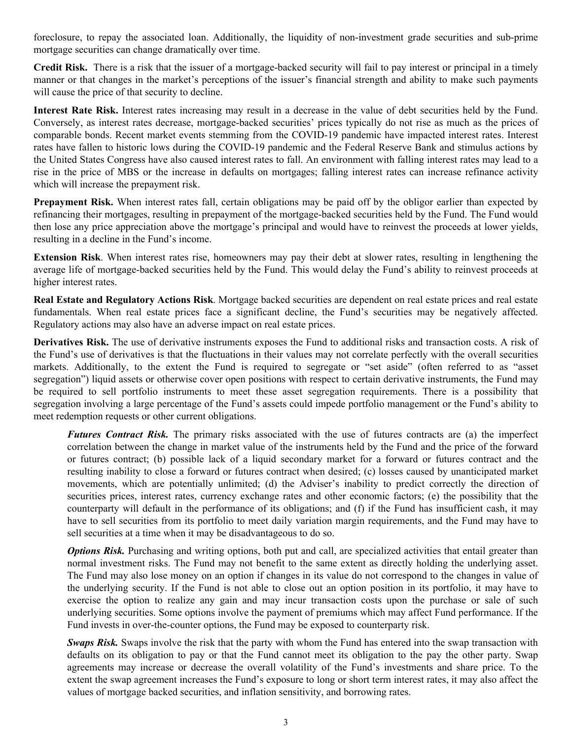foreclosure, to repay the associated loan. Additionally, the liquidity of non-investment grade securities and sub-prime mortgage securities can change dramatically over time.

**Credit Risk.** There is a risk that the issuer of a mortgage-backed security will fail to pay interest or principal in a timely manner or that changes in the market's perceptions of the issuer's financial strength and ability to make such payments will cause the price of that security to decline.

**Interest Rate Risk.** Interest rates increasing may result in a decrease in the value of debt securities held by the Fund. Conversely, as interest rates decrease, mortgage-backed securities' prices typically do not rise as much as the prices of comparable bonds. Recent market events stemming from the COVID-19 pandemic have impacted interest rates. Interest rates have fallen to historic lows during the COVID-19 pandemic and the Federal Reserve Bank and stimulus actions by the United States Congress have also caused interest rates to fall. An environment with falling interest rates may lead to a rise in the price of MBS or the increase in defaults on mortgages; falling interest rates can increase refinance activity which will increase the prepayment risk.

**Prepayment Risk.** When interest rates fall, certain obligations may be paid off by the obligor earlier than expected by refinancing their mortgages, resulting in prepayment of the mortgage-backed securities held by the Fund. The Fund would then lose any price appreciation above the mortgage's principal and would have to reinvest the proceeds at lower yields, resulting in a decline in the Fund's income.

**Extension Risk**. When interest rates rise, homeowners may pay their debt at slower rates, resulting in lengthening the average life of mortgage-backed securities held by the Fund. This would delay the Fund's ability to reinvest proceeds at higher interest rates.

**Real Estate and Regulatory Actions Risk**. Mortgage backed securities are dependent on real estate prices and real estate fundamentals. When real estate prices face a significant decline, the Fund's securities may be negatively affected. Regulatory actions may also have an adverse impact on real estate prices.

**Derivatives Risk.** The use of derivative instruments exposes the Fund to additional risks and transaction costs. A risk of the Fund's use of derivatives is that the fluctuations in their values may not correlate perfectly with the overall securities markets. Additionally, to the extent the Fund is required to segregate or "set aside" (often referred to as "asset segregation") liquid assets or otherwise cover open positions with respect to certain derivative instruments, the Fund may be required to sell portfolio instruments to meet these asset segregation requirements. There is a possibility that segregation involving a large percentage of the Fund's assets could impede portfolio management or the Fund's ability to meet redemption requests or other current obligations.

*Futures Contract Risk.* The primary risks associated with the use of futures contracts are (a) the imperfect correlation between the change in market value of the instruments held by the Fund and the price of the forward or futures contract; (b) possible lack of a liquid secondary market for a forward or futures contract and the resulting inability to close a forward or futures contract when desired; (c) losses caused by unanticipated market movements, which are potentially unlimited; (d) the Adviser's inability to predict correctly the direction of securities prices, interest rates, currency exchange rates and other economic factors; (e) the possibility that the counterparty will default in the performance of its obligations; and (f) if the Fund has insufficient cash, it may have to sell securities from its portfolio to meet daily variation margin requirements, and the Fund may have to sell securities at a time when it may be disadvantageous to do so.

*Options Risk.* Purchasing and writing options, both put and call, are specialized activities that entail greater than normal investment risks. The Fund may not benefit to the same extent as directly holding the underlying asset. The Fund may also lose money on an option if changes in its value do not correspond to the changes in value of the underlying security. If the Fund is not able to close out an option position in its portfolio, it may have to exercise the option to realize any gain and may incur transaction costs upon the purchase or sale of such underlying securities. Some options involve the payment of premiums which may affect Fund performance. If the Fund invests in over-the-counter options, the Fund may be exposed to counterparty risk.

*Swaps Risk.* Swaps involve the risk that the party with whom the Fund has entered into the swap transaction with defaults on its obligation to pay or that the Fund cannot meet its obligation to the pay the other party. Swap agreements may increase or decrease the overall volatility of the Fund's investments and share price. To the extent the swap agreement increases the Fund's exposure to long or short term interest rates, it may also affect the values of mortgage backed securities, and inflation sensitivity, and borrowing rates.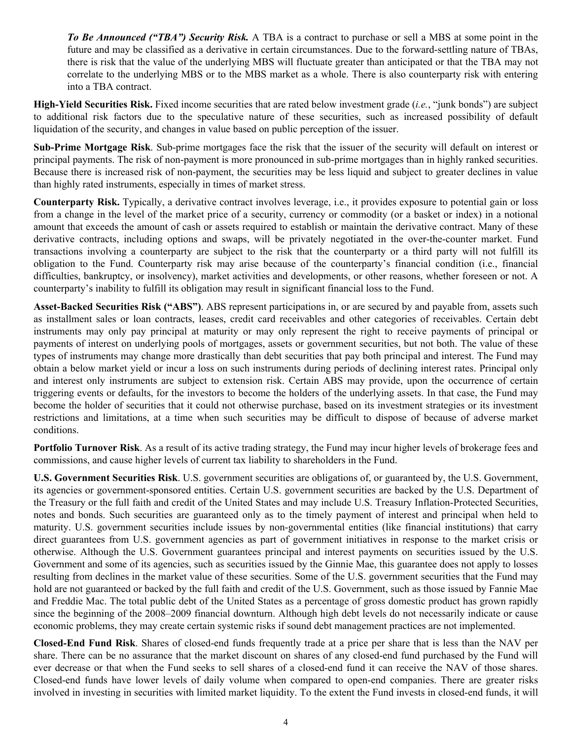*To Be Announced ("TBA") Security Risk.* A TBA is a contract to purchase or sell a MBS at some point in the future and may be classified as a derivative in certain circumstances. Due to the forward-settling nature of TBAs, there is risk that the value of the underlying MBS will fluctuate greater than anticipated or that the TBA may not correlate to the underlying MBS or to the MBS market as a whole. There is also counterparty risk with entering into a TBA contract.

**High-Yield Securities Risk.** Fixed income securities that are rated below investment grade (*i.e.*, "junk bonds") are subject to additional risk factors due to the speculative nature of these securities, such as increased possibility of default liquidation of the security, and changes in value based on public perception of the issuer.

**Sub-Prime Mortgage Risk**. Sub-prime mortgages face the risk that the issuer of the security will default on interest or principal payments. The risk of non-payment is more pronounced in sub-prime mortgages than in highly ranked securities. Because there is increased risk of non-payment, the securities may be less liquid and subject to greater declines in value than highly rated instruments, especially in times of market stress.

**Counterparty Risk.** Typically, a derivative contract involves leverage, i.e., it provides exposure to potential gain or loss from a change in the level of the market price of a security, currency or commodity (or a basket or index) in a notional amount that exceeds the amount of cash or assets required to establish or maintain the derivative contract. Many of these derivative contracts, including options and swaps, will be privately negotiated in the over-the-counter market. Fund transactions involving a counterparty are subject to the risk that the counterparty or a third party will not fulfill its obligation to the Fund. Counterparty risk may arise because of the counterparty's financial condition (i.e., financial difficulties, bankruptcy, or insolvency), market activities and developments, or other reasons, whether foreseen or not. A counterparty's inability to fulfill its obligation may result in significant financial loss to the Fund.

**Asset-Backed Securities Risk ("ABS")**. ABS represent participations in, or are secured by and payable from, assets such as installment sales or loan contracts, leases, credit card receivables and other categories of receivables. Certain debt instruments may only pay principal at maturity or may only represent the right to receive payments of principal or payments of interest on underlying pools of mortgages, assets or government securities, but not both. The value of these types of instruments may change more drastically than debt securities that pay both principal and interest. The Fund may obtain a below market yield or incur a loss on such instruments during periods of declining interest rates. Principal only and interest only instruments are subject to extension risk. Certain ABS may provide, upon the occurrence of certain triggering events or defaults, for the investors to become the holders of the underlying assets. In that case, the Fund may become the holder of securities that it could not otherwise purchase, based on its investment strategies or its investment restrictions and limitations, at a time when such securities may be difficult to dispose of because of adverse market conditions.

**Portfolio Turnover Risk**. As a result of its active trading strategy, the Fund may incur higher levels of brokerage fees and commissions, and cause higher levels of current tax liability to shareholders in the Fund.

**U.S. Government Securities Risk**. U.S. government securities are obligations of, or guaranteed by, the U.S. Government, its agencies or government-sponsored entities. Certain U.S. government securities are backed by the U.S. Department of the Treasury or the full faith and credit of the United States and may include U.S. Treasury Inflation-Protected Securities, notes and bonds. Such securities are guaranteed only as to the timely payment of interest and principal when held to maturity. U.S. government securities include issues by non-governmental entities (like financial institutions) that carry direct guarantees from U.S. government agencies as part of government initiatives in response to the market crisis or otherwise. Although the U.S. Government guarantees principal and interest payments on securities issued by the U.S. Government and some of its agencies, such as securities issued by the Ginnie Mae, this guarantee does not apply to losses resulting from declines in the market value of these securities. Some of the U.S. government securities that the Fund may hold are not guaranteed or backed by the full faith and credit of the U.S. Government, such as those issued by Fannie Mae and Freddie Mac. The total public debt of the United States as a percentage of gross domestic product has grown rapidly since the beginning of the 2008–2009 financial downturn. Although high debt levels do not necessarily indicate or cause economic problems, they may create certain systemic risks if sound debt management practices are not implemented.

**Closed-End Fund Risk**. Shares of closed-end funds frequently trade at a price per share that is less than the NAV per share. There can be no assurance that the market discount on shares of any closed-end fund purchased by the Fund will ever decrease or that when the Fund seeks to sell shares of a closed-end fund it can receive the NAV of those shares. Closed-end funds have lower levels of daily volume when compared to open-end companies. There are greater risks involved in investing in securities with limited market liquidity. To the extent the Fund invests in closed-end funds, it will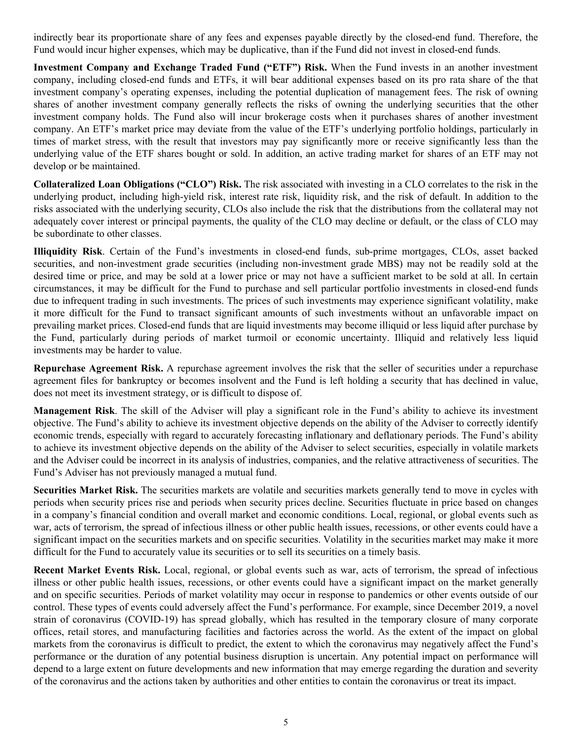indirectly bear its proportionate share of any fees and expenses payable directly by the closed-end fund. Therefore, the Fund would incur higher expenses, which may be duplicative, than if the Fund did not invest in closed-end funds.

**Investment Company and Exchange Traded Fund ("ETF") Risk.** When the Fund invests in an another investment company, including closed-end funds and ETFs, it will bear additional expenses based on its pro rata share of the that investment company's operating expenses, including the potential duplication of management fees. The risk of owning shares of another investment company generally reflects the risks of owning the underlying securities that the other investment company holds. The Fund also will incur brokerage costs when it purchases shares of another investment company. An ETF's market price may deviate from the value of the ETF's underlying portfolio holdings, particularly in times of market stress, with the result that investors may pay significantly more or receive significantly less than the underlying value of the ETF shares bought or sold. In addition, an active trading market for shares of an ETF may not develop or be maintained.

**Collateralized Loan Obligations ("CLO") Risk.** The risk associated with investing in a CLO correlates to the risk in the underlying product, including high-yield risk, interest rate risk, liquidity risk, and the risk of default. In addition to the risks associated with the underlying security, CLOs also include the risk that the distributions from the collateral may not adequately cover interest or principal payments, the quality of the CLO may decline or default, or the class of CLO may be subordinate to other classes.

**Illiquidity Risk**. Certain of the Fund's investments in closed-end funds, sub-prime mortgages, CLOs, asset backed securities, and non-investment grade securities (including non-investment grade MBS) may not be readily sold at the desired time or price, and may be sold at a lower price or may not have a sufficient market to be sold at all. In certain circumstances, it may be difficult for the Fund to purchase and sell particular portfolio investments in closed-end funds due to infrequent trading in such investments. The prices of such investments may experience significant volatility, make it more difficult for the Fund to transact significant amounts of such investments without an unfavorable impact on prevailing market prices. Closed-end funds that are liquid investments may become illiquid or less liquid after purchase by the Fund, particularly during periods of market turmoil or economic uncertainty. Illiquid and relatively less liquid investments may be harder to value.

**Repurchase Agreement Risk.** A repurchase agreement involves the risk that the seller of securities under a repurchase agreement files for bankruptcy or becomes insolvent and the Fund is left holding a security that has declined in value, does not meet its investment strategy, or is difficult to dispose of.

**Management Risk**. The skill of the Adviser will play a significant role in the Fund's ability to achieve its investment objective. The Fund's ability to achieve its investment objective depends on the ability of the Adviser to correctly identify economic trends, especially with regard to accurately forecasting inflationary and deflationary periods. The Fund's ability to achieve its investment objective depends on the ability of the Adviser to select securities, especially in volatile markets and the Adviser could be incorrect in its analysis of industries, companies, and the relative attractiveness of securities. The Fund's Adviser has not previously managed a mutual fund.

**Securities Market Risk.** The securities markets are volatile and securities markets generally tend to move in cycles with periods when security prices rise and periods when security prices decline. Securities fluctuate in price based on changes in a company's financial condition and overall market and economic conditions. Local, regional, or global events such as war, acts of terrorism, the spread of infectious illness or other public health issues, recessions, or other events could have a significant impact on the securities markets and on specific securities. Volatility in the securities market may make it more difficult for the Fund to accurately value its securities or to sell its securities on a timely basis.

**Recent Market Events Risk.** Local, regional, or global events such as war, acts of terrorism, the spread of infectious illness or other public health issues, recessions, or other events could have a significant impact on the market generally and on specific securities. Periods of market volatility may occur in response to pandemics or other events outside of our control. These types of events could adversely affect the Fund's performance. For example, since December 2019, a novel strain of coronavirus (COVID-19) has spread globally, which has resulted in the temporary closure of many corporate offices, retail stores, and manufacturing facilities and factories across the world. As the extent of the impact on global markets from the coronavirus is difficult to predict, the extent to which the coronavirus may negatively affect the Fund's performance or the duration of any potential business disruption is uncertain. Any potential impact on performance will depend to a large extent on future developments and new information that may emerge regarding the duration and severity of the coronavirus and the actions taken by authorities and other entities to contain the coronavirus or treat its impact.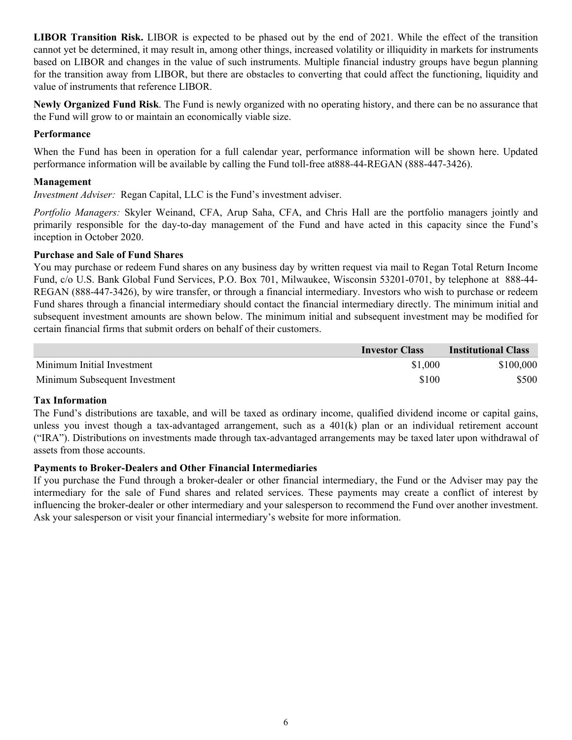**LIBOR Transition Risk.** LIBOR is expected to be phased out by the end of 2021. While the effect of the transition cannot yet be determined, it may result in, among other things, increased volatility or illiquidity in markets for instruments based on LIBOR and changes in the value of such instruments. Multiple financial industry groups have begun planning for the transition away from LIBOR, but there are obstacles to converting that could affect the functioning, liquidity and value of instruments that reference LIBOR.

**Newly Organized Fund Risk**. The Fund is newly organized with no operating history, and there can be no assurance that the Fund will grow to or maintain an economically viable size.

#### **Performance**

When the Fund has been in operation for a full calendar year, performance information will be shown here. Updated performance information will be available by calling the Fund toll-free at888-44-REGAN (888-447-3426).

### **Management**

*Investment Adviser:* Regan Capital, LLC is the Fund's investment adviser.

*Portfolio Managers:* Skyler Weinand, CFA, Arup Saha, CFA, and Chris Hall are the portfolio managers jointly and primarily responsible for the day-to-day management of the Fund and have acted in this capacity since the Fund's inception in October 2020.

#### **Purchase and Sale of Fund Shares**

You may purchase or redeem Fund shares on any business day by written request via mail to Regan Total Return Income Fund, c/o U.S. Bank Global Fund Services, P.O. Box 701, Milwaukee, Wisconsin 53201-0701, by telephone at 888-44- REGAN (888-447-3426), by wire transfer, or through a financial intermediary. Investors who wish to purchase or redeem Fund shares through a financial intermediary should contact the financial intermediary directly. The minimum initial and subsequent investment amounts are shown below. The minimum initial and subsequent investment may be modified for certain financial firms that submit orders on behalf of their customers.

|                               | <b>Investor Class</b> | <b>Institutional Class</b> |
|-------------------------------|-----------------------|----------------------------|
| Minimum Initial Investment    | \$1,000               | \$100,000                  |
| Minimum Subsequent Investment | \$100                 | \$500                      |

#### **Tax Information**

The Fund's distributions are taxable, and will be taxed as ordinary income, qualified dividend income or capital gains, unless you invest though a tax-advantaged arrangement, such as a 401(k) plan or an individual retirement account ("IRA"). Distributions on investments made through tax-advantaged arrangements may be taxed later upon withdrawal of assets from those accounts.

## **Payments to Broker-Dealers and Other Financial Intermediaries**

If you purchase the Fund through a broker-dealer or other financial intermediary, the Fund or the Adviser may pay the intermediary for the sale of Fund shares and related services. These payments may create a conflict of interest by influencing the broker-dealer or other intermediary and your salesperson to recommend the Fund over another investment. Ask your salesperson or visit your financial intermediary's website for more information.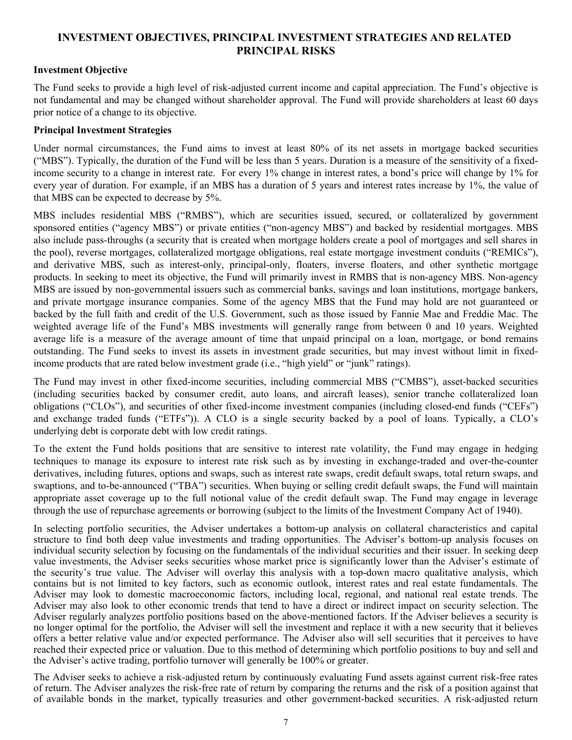## <span id="page-8-0"></span>**INVESTMENT OBJECTIVES, PRINCIPAL INVESTMENT STRATEGIES AND RELATED PRINCIPAL RISKS**

## **Investment Objective**

The Fund seeks to provide a high level of risk-adjusted current income and capital appreciation. The Fund's objective is not fundamental and may be changed without shareholder approval. The Fund will provide shareholders at least 60 days prior notice of a change to its objective.

### **Principal Investment Strategies**

Under normal circumstances, the Fund aims to invest at least 80% of its net assets in mortgage backed securities ("MBS"). Typically, the duration of the Fund will be less than 5 years. Duration is a measure of the sensitivity of a fixedincome security to a change in interest rate. For every 1% change in interest rates, a bond's price will change by 1% for every year of duration. For example, if an MBS has a duration of 5 years and interest rates increase by 1%, the value of that MBS can be expected to decrease by 5%.

MBS includes residential MBS ("RMBS"), which are securities issued, secured, or collateralized by government sponsored entities ("agency MBS") or private entities ("non-agency MBS") and backed by residential mortgages. MBS also include pass-throughs (a security that is created when mortgage holders create a pool of mortgages and sell shares in the pool), reverse mortgages, collateralized mortgage obligations, real estate mortgage investment conduits ("REMICs"), and derivative MBS, such as interest-only, principal-only, floaters, inverse floaters, and other synthetic mortgage products. In seeking to meet its objective, the Fund will primarily invest in RMBS that is non-agency MBS. Non-agency MBS are issued by non-governmental issuers such as commercial banks, savings and loan institutions, mortgage bankers, and private mortgage insurance companies. Some of the agency MBS that the Fund may hold are not guaranteed or backed by the full faith and credit of the U.S. Government, such as those issued by Fannie Mae and Freddie Mac. The weighted average life of the Fund's MBS investments will generally range from between 0 and 10 years. Weighted average life is a measure of the average amount of time that unpaid principal on a loan, mortgage, or bond remains outstanding. The Fund seeks to invest its assets in investment grade securities, but may invest without limit in fixedincome products that are rated below investment grade (i.e., "high yield" or "junk" ratings).

The Fund may invest in other fixed-income securities, including commercial MBS ("CMBS"), asset-backed securities (including securities backed by consumer credit, auto loans, and aircraft leases), senior tranche collateralized loan obligations ("CLOs"), and securities of other fixed-income investment companies (including closed-end funds ("CEFs") and exchange traded funds ("ETFs")). A CLO is a single security backed by a pool of loans. Typically, a CLO's underlying debt is corporate debt with low credit ratings.

To the extent the Fund holds positions that are sensitive to interest rate volatility, the Fund may engage in hedging techniques to manage its exposure to interest rate risk such as by investing in exchange-traded and over-the-counter derivatives, including futures, options and swaps, such as interest rate swaps, credit default swaps, total return swaps, and swaptions, and to-be-announced ("TBA") securities. When buying or selling credit default swaps, the Fund will maintain appropriate asset coverage up to the full notional value of the credit default swap. The Fund may engage in leverage through the use of repurchase agreements or borrowing (subject to the limits of the Investment Company Act of 1940).

In selecting portfolio securities, the Adviser undertakes a bottom-up analysis on collateral characteristics and capital structure to find both deep value investments and trading opportunities. The Adviser's bottom-up analysis focuses on individual security selection by focusing on the fundamentals of the individual securities and their issuer. In seeking deep value investments, the Adviser seeks securities whose market price is significantly lower than the Adviser's estimate of the security's true value. The Adviser will overlay this analysis with a top-down macro qualitative analysis, which contains but is not limited to key factors, such as economic outlook, interest rates and real estate fundamentals. The Adviser may look to domestic macroeconomic factors, including local, regional, and national real estate trends. The Adviser may also look to other economic trends that tend to have a direct or indirect impact on security selection. The Adviser regularly analyzes portfolio positions based on the above-mentioned factors. If the Adviser believes a security is no longer optimal for the portfolio, the Adviser will sell the investment and replace it with a new security that it believes offers a better relative value and/or expected performance. The Adviser also will sell securities that it perceives to have reached their expected price or valuation. Due to this method of determining which portfolio positions to buy and sell and the Adviser's active trading, portfolio turnover will generally be 100% or greater.

The Adviser seeks to achieve a risk-adjusted return by continuously evaluating Fund assets against current risk-free rates of return. The Adviser analyzes the risk-free rate of return by comparing the returns and the risk of a position against that of available bonds in the market, typically treasuries and other government-backed securities. A risk-adjusted return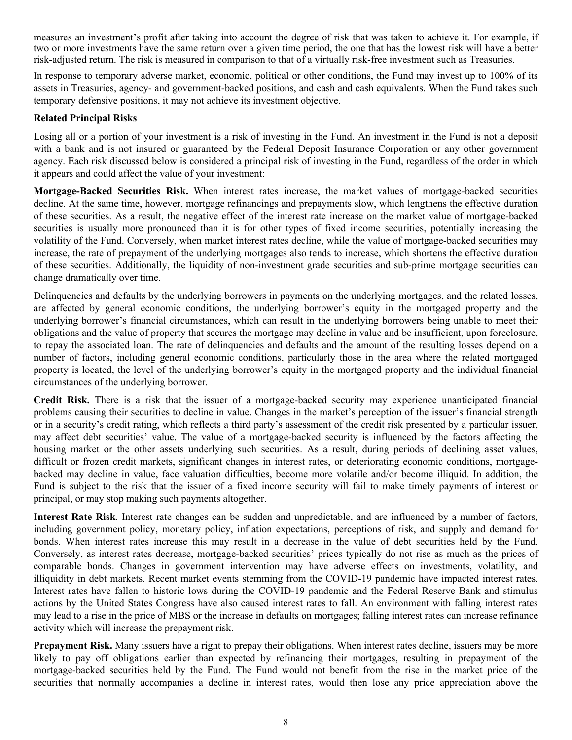measures an investment's profit after taking into account the degree of risk that was taken to achieve it. For example, if two or more investments have the same return over a given time period, the one that has the lowest risk will have a better risk-adjusted return. The risk is measured in comparison to that of a virtually risk-free investment such as Treasuries.

In response to temporary adverse market, economic, political or other conditions, the Fund may invest up to 100% of its assets in Treasuries, agency- and government-backed positions, and cash and cash equivalents. When the Fund takes such temporary defensive positions, it may not achieve its investment objective.

## **Related Principal Risks**

Losing all or a portion of your investment is a risk of investing in the Fund. An investment in the Fund is not a deposit with a bank and is not insured or guaranteed by the Federal Deposit Insurance Corporation or any other government agency. Each risk discussed below is considered a principal risk of investing in the Fund, regardless of the order in which it appears and could affect the value of your investment:

**Mortgage-Backed Securities Risk.** When interest rates increase, the market values of mortgage-backed securities decline. At the same time, however, mortgage refinancings and prepayments slow, which lengthens the effective duration of these securities. As a result, the negative effect of the interest rate increase on the market value of mortgage-backed securities is usually more pronounced than it is for other types of fixed income securities, potentially increasing the volatility of the Fund. Conversely, when market interest rates decline, while the value of mortgage-backed securities may increase, the rate of prepayment of the underlying mortgages also tends to increase, which shortens the effective duration of these securities. Additionally, the liquidity of non-investment grade securities and sub-prime mortgage securities can change dramatically over time.

Delinquencies and defaults by the underlying borrowers in payments on the underlying mortgages, and the related losses, are affected by general economic conditions, the underlying borrower's equity in the mortgaged property and the underlying borrower's financial circumstances, which can result in the underlying borrowers being unable to meet their obligations and the value of property that secures the mortgage may decline in value and be insufficient, upon foreclosure, to repay the associated loan. The rate of delinquencies and defaults and the amount of the resulting losses depend on a number of factors, including general economic conditions, particularly those in the area where the related mortgaged property is located, the level of the underlying borrower's equity in the mortgaged property and the individual financial circumstances of the underlying borrower.

**Credit Risk.** There is a risk that the issuer of a mortgage-backed security may experience unanticipated financial problems causing their securities to decline in value. Changes in the market's perception of the issuer's financial strength or in a security's credit rating, which reflects a third party's assessment of the credit risk presented by a particular issuer, may affect debt securities' value. The value of a mortgage-backed security is influenced by the factors affecting the housing market or the other assets underlying such securities. As a result, during periods of declining asset values, difficult or frozen credit markets, significant changes in interest rates, or deteriorating economic conditions, mortgagebacked may decline in value, face valuation difficulties, become more volatile and/or become illiquid. In addition, the Fund is subject to the risk that the issuer of a fixed income security will fail to make timely payments of interest or principal, or may stop making such payments altogether.

**Interest Rate Risk**. Interest rate changes can be sudden and unpredictable, and are influenced by a number of factors, including government policy, monetary policy, inflation expectations, perceptions of risk, and supply and demand for bonds. When interest rates increase this may result in a decrease in the value of debt securities held by the Fund. Conversely, as interest rates decrease, mortgage-backed securities' prices typically do not rise as much as the prices of comparable bonds. Changes in government intervention may have adverse effects on investments, volatility, and illiquidity in debt markets. Recent market events stemming from the COVID-19 pandemic have impacted interest rates. Interest rates have fallen to historic lows during the COVID-19 pandemic and the Federal Reserve Bank and stimulus actions by the United States Congress have also caused interest rates to fall. An environment with falling interest rates may lead to a rise in the price of MBS or the increase in defaults on mortgages; falling interest rates can increase refinance activity which will increase the prepayment risk.

**Prepayment Risk.** Many issuers have a right to prepay their obligations. When interest rates decline, issuers may be more likely to pay off obligations earlier than expected by refinancing their mortgages, resulting in prepayment of the mortgage-backed securities held by the Fund. The Fund would not benefit from the rise in the market price of the securities that normally accompanies a decline in interest rates, would then lose any price appreciation above the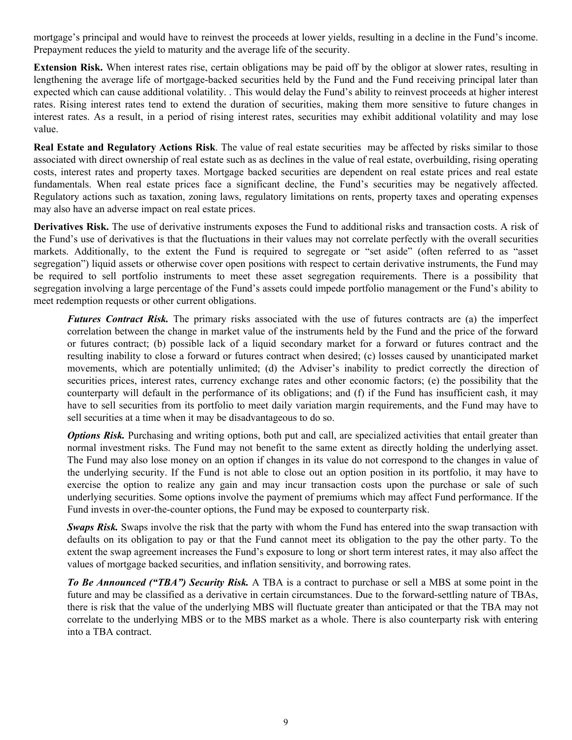mortgage's principal and would have to reinvest the proceeds at lower yields, resulting in a decline in the Fund's income. Prepayment reduces the yield to maturity and the average life of the security.

**Extension Risk.** When interest rates rise, certain obligations may be paid off by the obligor at slower rates, resulting in lengthening the average life of mortgage-backed securities held by the Fund and the Fund receiving principal later than expected which can cause additional volatility. . This would delay the Fund's ability to reinvest proceeds at higher interest rates. Rising interest rates tend to extend the duration of securities, making them more sensitive to future changes in interest rates. As a result, in a period of rising interest rates, securities may exhibit additional volatility and may lose value.

**Real Estate and Regulatory Actions Risk**. The value of real estate securities may be affected by risks similar to those associated with direct ownership of real estate such as as declines in the value of real estate, overbuilding, rising operating costs, interest rates and property taxes. Mortgage backed securities are dependent on real estate prices and real estate fundamentals. When real estate prices face a significant decline, the Fund's securities may be negatively affected. Regulatory actions such as taxation, zoning laws, regulatory limitations on rents, property taxes and operating expenses may also have an adverse impact on real estate prices.

**Derivatives Risk.** The use of derivative instruments exposes the Fund to additional risks and transaction costs. A risk of the Fund's use of derivatives is that the fluctuations in their values may not correlate perfectly with the overall securities markets. Additionally, to the extent the Fund is required to segregate or "set aside" (often referred to as "asset segregation") liquid assets or otherwise cover open positions with respect to certain derivative instruments, the Fund may be required to sell portfolio instruments to meet these asset segregation requirements. There is a possibility that segregation involving a large percentage of the Fund's assets could impede portfolio management or the Fund's ability to meet redemption requests or other current obligations.

*Futures Contract Risk.* The primary risks associated with the use of futures contracts are (a) the imperfect correlation between the change in market value of the instruments held by the Fund and the price of the forward or futures contract; (b) possible lack of a liquid secondary market for a forward or futures contract and the resulting inability to close a forward or futures contract when desired; (c) losses caused by unanticipated market movements, which are potentially unlimited; (d) the Adviser's inability to predict correctly the direction of securities prices, interest rates, currency exchange rates and other economic factors; (e) the possibility that the counterparty will default in the performance of its obligations; and (f) if the Fund has insufficient cash, it may have to sell securities from its portfolio to meet daily variation margin requirements, and the Fund may have to sell securities at a time when it may be disadvantageous to do so.

*Options Risk.* Purchasing and writing options, both put and call, are specialized activities that entail greater than normal investment risks. The Fund may not benefit to the same extent as directly holding the underlying asset. The Fund may also lose money on an option if changes in its value do not correspond to the changes in value of the underlying security. If the Fund is not able to close out an option position in its portfolio, it may have to exercise the option to realize any gain and may incur transaction costs upon the purchase or sale of such underlying securities. Some options involve the payment of premiums which may affect Fund performance. If the Fund invests in over-the-counter options, the Fund may be exposed to counterparty risk.

*Swaps Risk.* Swaps involve the risk that the party with whom the Fund has entered into the swap transaction with defaults on its obligation to pay or that the Fund cannot meet its obligation to the pay the other party. To the extent the swap agreement increases the Fund's exposure to long or short term interest rates, it may also affect the values of mortgage backed securities, and inflation sensitivity, and borrowing rates.

*To Be Announced ("TBA") Security Risk.* A TBA is a contract to purchase or sell a MBS at some point in the future and may be classified as a derivative in certain circumstances. Due to the forward-settling nature of TBAs, there is risk that the value of the underlying MBS will fluctuate greater than anticipated or that the TBA may not correlate to the underlying MBS or to the MBS market as a whole. There is also counterparty risk with entering into a TBA contract.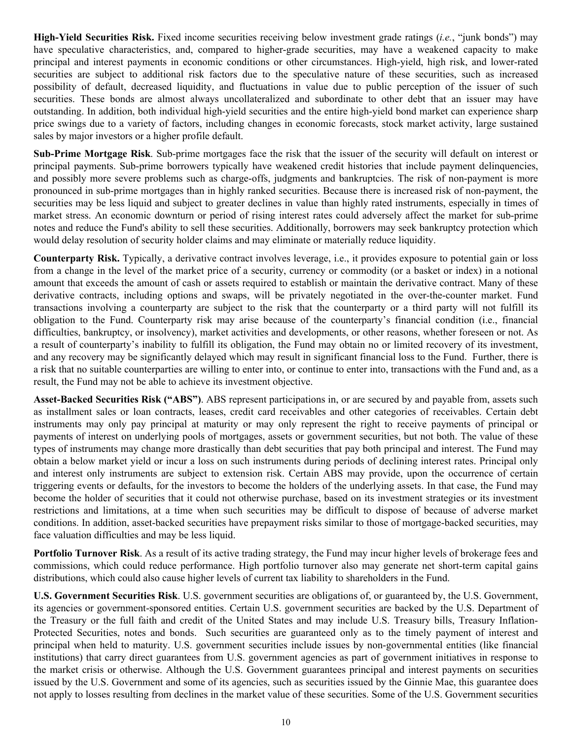**High-Yield Securities Risk.** Fixed income securities receiving below investment grade ratings (*i.e.*, "junk bonds") may have speculative characteristics, and, compared to higher-grade securities, may have a weakened capacity to make principal and interest payments in economic conditions or other circumstances. High-yield, high risk, and lower-rated securities are subject to additional risk factors due to the speculative nature of these securities, such as increased possibility of default, decreased liquidity, and fluctuations in value due to public perception of the issuer of such securities. These bonds are almost always uncollateralized and subordinate to other debt that an issuer may have outstanding. In addition, both individual high-yield securities and the entire high-yield bond market can experience sharp price swings due to a variety of factors, including changes in economic forecasts, stock market activity, large sustained sales by major investors or a higher profile default.

**Sub-Prime Mortgage Risk**. Sub-prime mortgages face the risk that the issuer of the security will default on interest or principal payments. Sub-prime borrowers typically have weakened credit histories that include payment delinquencies, and possibly more severe problems such as charge-offs, judgments and bankruptcies. The risk of non-payment is more pronounced in sub-prime mortgages than in highly ranked securities. Because there is increased risk of non-payment, the securities may be less liquid and subject to greater declines in value than highly rated instruments, especially in times of market stress. An economic downturn or period of rising interest rates could adversely affect the market for sub-prime notes and reduce the Fund's ability to sell these securities. Additionally, borrowers may seek bankruptcy protection which would delay resolution of security holder claims and may eliminate or materially reduce liquidity.

**Counterparty Risk.** Typically, a derivative contract involves leverage, i.e., it provides exposure to potential gain or loss from a change in the level of the market price of a security, currency or commodity (or a basket or index) in a notional amount that exceeds the amount of cash or assets required to establish or maintain the derivative contract. Many of these derivative contracts, including options and swaps, will be privately negotiated in the over-the-counter market. Fund transactions involving a counterparty are subject to the risk that the counterparty or a third party will not fulfill its obligation to the Fund. Counterparty risk may arise because of the counterparty's financial condition (i.e., financial difficulties, bankruptcy, or insolvency), market activities and developments, or other reasons, whether foreseen or not. As a result of counterparty's inability to fulfill its obligation, the Fund may obtain no or limited recovery of its investment, and any recovery may be significantly delayed which may result in significant financial loss to the Fund. Further, there is a risk that no suitable counterparties are willing to enter into, or continue to enter into, transactions with the Fund and, as a result, the Fund may not be able to achieve its investment objective.

**Asset-Backed Securities Risk ("ABS")**. ABS represent participations in, or are secured by and payable from, assets such as installment sales or loan contracts, leases, credit card receivables and other categories of receivables. Certain debt instruments may only pay principal at maturity or may only represent the right to receive payments of principal or payments of interest on underlying pools of mortgages, assets or government securities, but not both. The value of these types of instruments may change more drastically than debt securities that pay both principal and interest. The Fund may obtain a below market yield or incur a loss on such instruments during periods of declining interest rates. Principal only and interest only instruments are subject to extension risk. Certain ABS may provide, upon the occurrence of certain triggering events or defaults, for the investors to become the holders of the underlying assets. In that case, the Fund may become the holder of securities that it could not otherwise purchase, based on its investment strategies or its investment restrictions and limitations, at a time when such securities may be difficult to dispose of because of adverse market conditions. In addition, asset-backed securities have prepayment risks similar to those of mortgage-backed securities, may face valuation difficulties and may be less liquid.

**Portfolio Turnover Risk**. As a result of its active trading strategy, the Fund may incur higher levels of brokerage fees and commissions, which could reduce performance. High portfolio turnover also may generate net short-term capital gains distributions, which could also cause higher levels of current tax liability to shareholders in the Fund.

**U.S. Government Securities Risk**. U.S. government securities are obligations of, or guaranteed by, the U.S. Government, its agencies or government-sponsored entities. Certain U.S. government securities are backed by the U.S. Department of the Treasury or the full faith and credit of the United States and may include U.S. Treasury bills, Treasury Inflation-Protected Securities, notes and bonds. Such securities are guaranteed only as to the timely payment of interest and principal when held to maturity. U.S. government securities include issues by non-governmental entities (like financial institutions) that carry direct guarantees from U.S. government agencies as part of government initiatives in response to the market crisis or otherwise. Although the U.S. Government guarantees principal and interest payments on securities issued by the U.S. Government and some of its agencies, such as securities issued by the Ginnie Mae, this guarantee does not apply to losses resulting from declines in the market value of these securities. Some of the U.S. Government securities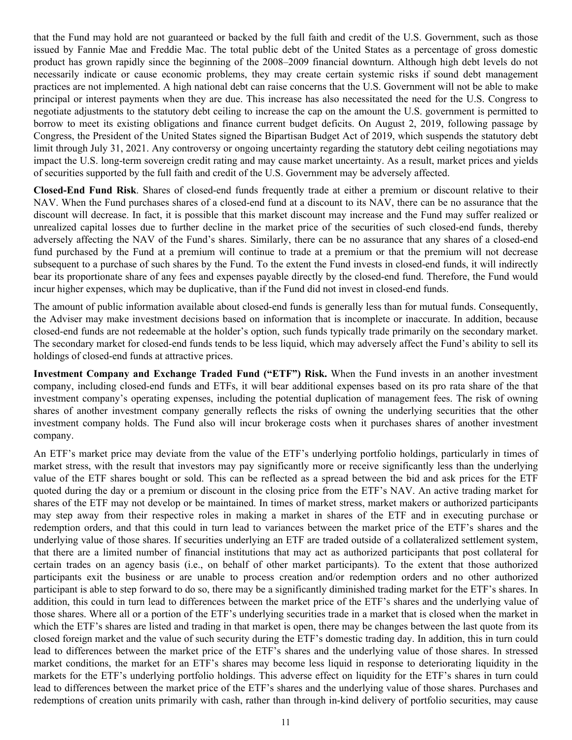that the Fund may hold are not guaranteed or backed by the full faith and credit of the U.S. Government, such as those issued by Fannie Mae and Freddie Mac. The total public debt of the United States as a percentage of gross domestic product has grown rapidly since the beginning of the 2008–2009 financial downturn. Although high debt levels do not necessarily indicate or cause economic problems, they may create certain systemic risks if sound debt management practices are not implemented. A high national debt can raise concerns that the U.S. Government will not be able to make principal or interest payments when they are due. This increase has also necessitated the need for the U.S. Congress to negotiate adjustments to the statutory debt ceiling to increase the cap on the amount the U.S. government is permitted to borrow to meet its existing obligations and finance current budget deficits. On August 2, 2019, following passage by Congress, the President of the United States signed the Bipartisan Budget Act of 2019, which suspends the statutory debt limit through July 31, 2021. Any controversy or ongoing uncertainty regarding the statutory debt ceiling negotiations may impact the U.S. long-term sovereign credit rating and may cause market uncertainty. As a result, market prices and yields of securities supported by the full faith and credit of the U.S. Government may be adversely affected.

**Closed-End Fund Risk**. Shares of closed-end funds frequently trade at either a premium or discount relative to their NAV. When the Fund purchases shares of a closed-end fund at a discount to its NAV, there can be no assurance that the discount will decrease. In fact, it is possible that this market discount may increase and the Fund may suffer realized or unrealized capital losses due to further decline in the market price of the securities of such closed-end funds, thereby adversely affecting the NAV of the Fund's shares. Similarly, there can be no assurance that any shares of a closed-end fund purchased by the Fund at a premium will continue to trade at a premium or that the premium will not decrease subsequent to a purchase of such shares by the Fund. To the extent the Fund invests in closed-end funds, it will indirectly bear its proportionate share of any fees and expenses payable directly by the closed-end fund. Therefore, the Fund would incur higher expenses, which may be duplicative, than if the Fund did not invest in closed-end funds.

The amount of public information available about closed-end funds is generally less than for mutual funds. Consequently, the Adviser may make investment decisions based on information that is incomplete or inaccurate. In addition, because closed-end funds are not redeemable at the holder's option, such funds typically trade primarily on the secondary market. The secondary market for closed-end funds tends to be less liquid, which may adversely affect the Fund's ability to sell its holdings of closed-end funds at attractive prices.

**Investment Company and Exchange Traded Fund ("ETF") Risk.** When the Fund invests in an another investment company, including closed-end funds and ETFs, it will bear additional expenses based on its pro rata share of the that investment company's operating expenses, including the potential duplication of management fees. The risk of owning shares of another investment company generally reflects the risks of owning the underlying securities that the other investment company holds. The Fund also will incur brokerage costs when it purchases shares of another investment company.

An ETF's market price may deviate from the value of the ETF's underlying portfolio holdings, particularly in times of market stress, with the result that investors may pay significantly more or receive significantly less than the underlying value of the ETF shares bought or sold. This can be reflected as a spread between the bid and ask prices for the ETF quoted during the day or a premium or discount in the closing price from the ETF's NAV. An active trading market for shares of the ETF may not develop or be maintained. In times of market stress, market makers or authorized participants may step away from their respective roles in making a market in shares of the ETF and in executing purchase or redemption orders, and that this could in turn lead to variances between the market price of the ETF's shares and the underlying value of those shares. If securities underlying an ETF are traded outside of a collateralized settlement system, that there are a limited number of financial institutions that may act as authorized participants that post collateral for certain trades on an agency basis (i.e., on behalf of other market participants). To the extent that those authorized participants exit the business or are unable to process creation and/or redemption orders and no other authorized participant is able to step forward to do so, there may be a significantly diminished trading market for the ETF's shares. In addition, this could in turn lead to differences between the market price of the ETF's shares and the underlying value of those shares. Where all or a portion of the ETF's underlying securities trade in a market that is closed when the market in which the ETF's shares are listed and trading in that market is open, there may be changes between the last quote from its closed foreign market and the value of such security during the ETF's domestic trading day. In addition, this in turn could lead to differences between the market price of the ETF's shares and the underlying value of those shares. In stressed market conditions, the market for an ETF's shares may become less liquid in response to deteriorating liquidity in the markets for the ETF's underlying portfolio holdings. This adverse effect on liquidity for the ETF's shares in turn could lead to differences between the market price of the ETF's shares and the underlying value of those shares. Purchases and redemptions of creation units primarily with cash, rather than through in-kind delivery of portfolio securities, may cause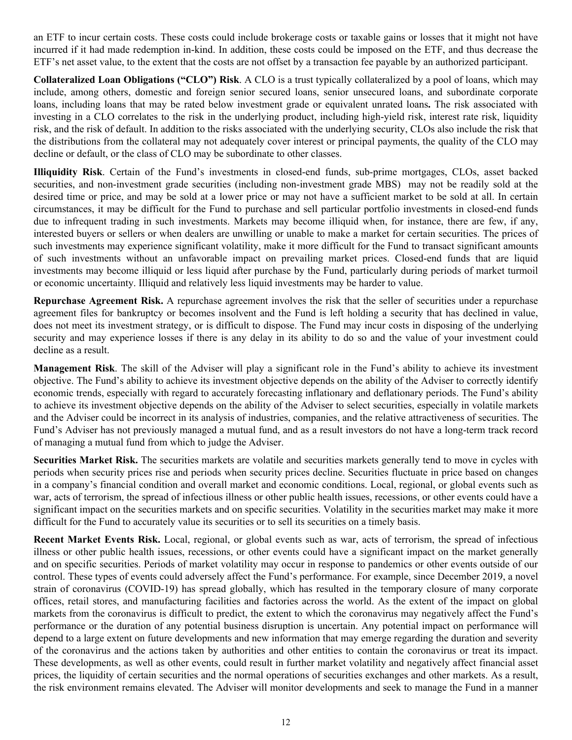an ETF to incur certain costs. These costs could include brokerage costs or taxable gains or losses that it might not have incurred if it had made redemption in-kind. In addition, these costs could be imposed on the ETF, and thus decrease the ETF's net asset value, to the extent that the costs are not offset by a transaction fee payable by an authorized participant.

**Collateralized Loan Obligations ("CLO") Risk**. A CLO is a trust typically collateralized by a pool of loans, which may include, among others, domestic and foreign senior secured loans, senior unsecured loans, and subordinate corporate loans, including loans that may be rated below investment grade or equivalent unrated loans**.** The risk associated with investing in a CLO correlates to the risk in the underlying product, including high-yield risk, interest rate risk, liquidity risk, and the risk of default. In addition to the risks associated with the underlying security, CLOs also include the risk that the distributions from the collateral may not adequately cover interest or principal payments, the quality of the CLO may decline or default, or the class of CLO may be subordinate to other classes.

**Illiquidity Risk**. Certain of the Fund's investments in closed-end funds, sub-prime mortgages, CLOs, asset backed securities, and non-investment grade securities (including non-investment grade MBS) may not be readily sold at the desired time or price, and may be sold at a lower price or may not have a sufficient market to be sold at all. In certain circumstances, it may be difficult for the Fund to purchase and sell particular portfolio investments in closed-end funds due to infrequent trading in such investments. Markets may become illiquid when, for instance, there are few, if any, interested buyers or sellers or when dealers are unwilling or unable to make a market for certain securities. The prices of such investments may experience significant volatility, make it more difficult for the Fund to transact significant amounts of such investments without an unfavorable impact on prevailing market prices. Closed-end funds that are liquid investments may become illiquid or less liquid after purchase by the Fund, particularly during periods of market turmoil or economic uncertainty. Illiquid and relatively less liquid investments may be harder to value.

**Repurchase Agreement Risk.** A repurchase agreement involves the risk that the seller of securities under a repurchase agreement files for bankruptcy or becomes insolvent and the Fund is left holding a security that has declined in value, does not meet its investment strategy, or is difficult to dispose. The Fund may incur costs in disposing of the underlying security and may experience losses if there is any delay in its ability to do so and the value of your investment could decline as a result.

**Management Risk**. The skill of the Adviser will play a significant role in the Fund's ability to achieve its investment objective. The Fund's ability to achieve its investment objective depends on the ability of the Adviser to correctly identify economic trends, especially with regard to accurately forecasting inflationary and deflationary periods. The Fund's ability to achieve its investment objective depends on the ability of the Adviser to select securities, especially in volatile markets and the Adviser could be incorrect in its analysis of industries, companies, and the relative attractiveness of securities. The Fund's Adviser has not previously managed a mutual fund, and as a result investors do not have a long-term track record of managing a mutual fund from which to judge the Adviser.

**Securities Market Risk.** The securities markets are volatile and securities markets generally tend to move in cycles with periods when security prices rise and periods when security prices decline. Securities fluctuate in price based on changes in a company's financial condition and overall market and economic conditions. Local, regional, or global events such as war, acts of terrorism, the spread of infectious illness or other public health issues, recessions, or other events could have a significant impact on the securities markets and on specific securities. Volatility in the securities market may make it more difficult for the Fund to accurately value its securities or to sell its securities on a timely basis.

**Recent Market Events Risk.** Local, regional, or global events such as war, acts of terrorism, the spread of infectious illness or other public health issues, recessions, or other events could have a significant impact on the market generally and on specific securities. Periods of market volatility may occur in response to pandemics or other events outside of our control. These types of events could adversely affect the Fund's performance. For example, since December 2019, a novel strain of coronavirus (COVID-19) has spread globally, which has resulted in the temporary closure of many corporate offices, retail stores, and manufacturing facilities and factories across the world. As the extent of the impact on global markets from the coronavirus is difficult to predict, the extent to which the coronavirus may negatively affect the Fund's performance or the duration of any potential business disruption is uncertain. Any potential impact on performance will depend to a large extent on future developments and new information that may emerge regarding the duration and severity of the coronavirus and the actions taken by authorities and other entities to contain the coronavirus or treat its impact. These developments, as well as other events, could result in further market volatility and negatively affect financial asset prices, the liquidity of certain securities and the normal operations of securities exchanges and other markets. As a result, the risk environment remains elevated. The Adviser will monitor developments and seek to manage the Fund in a manner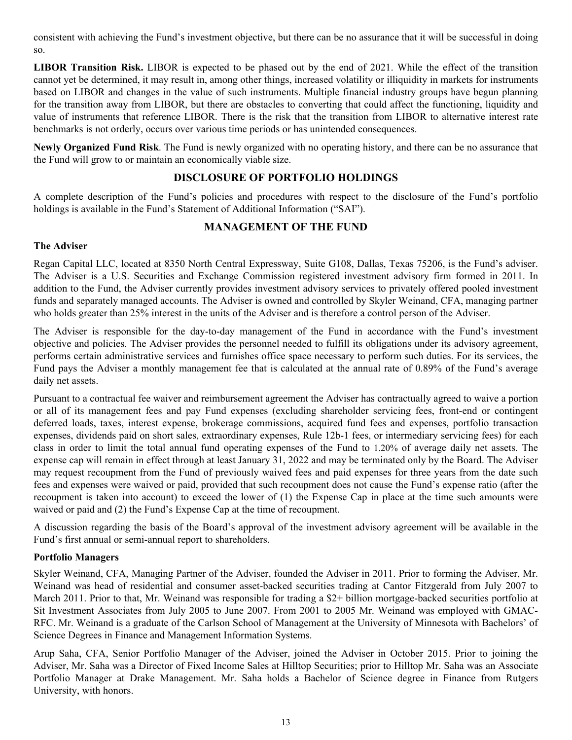<span id="page-14-0"></span>consistent with achieving the Fund's investment objective, but there can be no assurance that it will be successful in doing so.

**LIBOR Transition Risk.** LIBOR is expected to be phased out by the end of 2021. While the effect of the transition cannot yet be determined, it may result in, among other things, increased volatility or illiquidity in markets for instruments based on LIBOR and changes in the value of such instruments. Multiple financial industry groups have begun planning for the transition away from LIBOR, but there are obstacles to converting that could affect the functioning, liquidity and value of instruments that reference LIBOR. There is the risk that the transition from LIBOR to alternative interest rate benchmarks is not orderly, occurs over various time periods or has unintended consequences.

**Newly Organized Fund Risk**. The Fund is newly organized with no operating history, and there can be no assurance that the Fund will grow to or maintain an economically viable size.

## **DISCLOSURE OF PORTFOLIO HOLDINGS**

A complete description of the Fund's policies and procedures with respect to the disclosure of the Fund's portfolio holdings is available in the Fund's Statement of Additional Information ("SAI").

## **MANAGEMENT OF THE FUND**

## **The Adviser**

Regan Capital LLC, located at 8350 North Central Expressway, Suite G108, Dallas, Texas 75206, is the Fund's adviser. The Adviser is a U.S. Securities and Exchange Commission registered investment advisory firm formed in 2011. In addition to the Fund, the Adviser currently provides investment advisory services to privately offered pooled investment funds and separately managed accounts. The Adviser is owned and controlled by Skyler Weinand, CFA, managing partner who holds greater than 25% interest in the units of the Adviser and is therefore a control person of the Adviser.

The Adviser is responsible for the day-to-day management of the Fund in accordance with the Fund's investment objective and policies. The Adviser provides the personnel needed to fulfill its obligations under its advisory agreement, performs certain administrative services and furnishes office space necessary to perform such duties. For its services, the Fund pays the Adviser a monthly management fee that is calculated at the annual rate of 0.89% of the Fund's average daily net assets.

Pursuant to a contractual fee waiver and reimbursement agreement the Adviser has contractually agreed to waive a portion or all of its management fees and pay Fund expenses (excluding shareholder servicing fees, front-end or contingent deferred loads, taxes, interest expense, brokerage commissions, acquired fund fees and expenses, portfolio transaction expenses, dividends paid on short sales, extraordinary expenses, Rule 12b-1 fees, or intermediary servicing fees) for each class in order to limit the total annual fund operating expenses of the Fund to 1.20% of average daily net assets. The expense cap will remain in effect through at least January 31, 2022 and may be terminated only by the Board. The Adviser may request recoupment from the Fund of previously waived fees and paid expenses for three years from the date such fees and expenses were waived or paid, provided that such recoupment does not cause the Fund's expense ratio (after the recoupment is taken into account) to exceed the lower of (1) the Expense Cap in place at the time such amounts were waived or paid and (2) the Fund's Expense Cap at the time of recoupment.

A discussion regarding the basis of the Board's approval of the investment advisory agreement will be available in the Fund's first annual or semi-annual report to shareholders.

## **Portfolio Managers**

Skyler Weinand, CFA, Managing Partner of the Adviser, founded the Adviser in 2011. Prior to forming the Adviser, Mr. Weinand was head of residential and consumer asset-backed securities trading at Cantor Fitzgerald from July 2007 to March 2011. Prior to that, Mr. Weinand was responsible for trading a \$2+ billion mortgage-backed securities portfolio at Sit Investment Associates from July 2005 to June 2007. From 2001 to 2005 Mr. Weinand was employed with GMAC-RFC. Mr. Weinand is a graduate of the Carlson School of Management at the University of Minnesota with Bachelors' of Science Degrees in Finance and Management Information Systems.

Arup Saha, CFA, Senior Portfolio Manager of the Adviser, joined the Adviser in October 2015. Prior to joining the Adviser, Mr. Saha was a Director of Fixed Income Sales at Hilltop Securities; prior to Hilltop Mr. Saha was an Associate Portfolio Manager at Drake Management. Mr. Saha holds a Bachelor of Science degree in Finance from Rutgers University, with honors.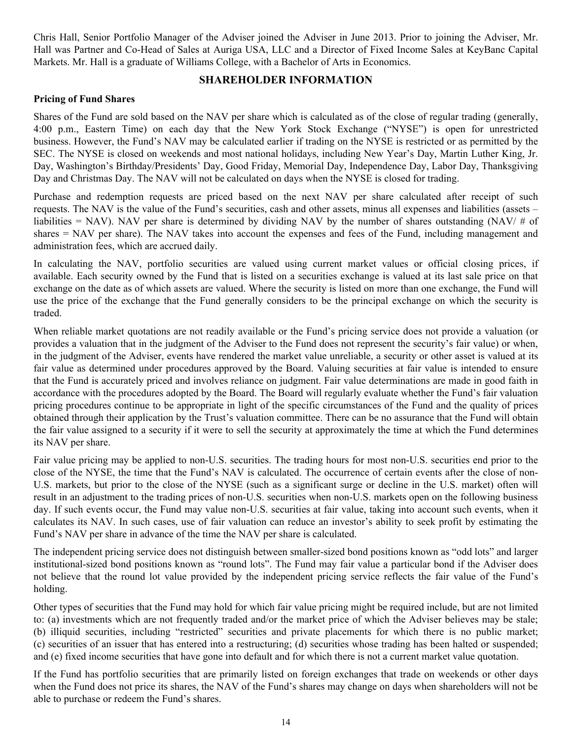<span id="page-15-0"></span>Chris Hall, Senior Portfolio Manager of the Adviser joined the Adviser in June 2013. Prior to joining the Adviser, Mr. Hall was Partner and Co-Head of Sales at Auriga USA, LLC and a Director of Fixed Income Sales at KeyBanc Capital Markets. Mr. Hall is a graduate of Williams College, with a Bachelor of Arts in Economics.

### **SHAREHOLDER INFORMATION**

#### **Pricing of Fund Shares**

Shares of the Fund are sold based on the NAV per share which is calculated as of the close of regular trading (generally, 4:00 p.m., Eastern Time) on each day that the New York Stock Exchange ("NYSE") is open for unrestricted business. However, the Fund's NAV may be calculated earlier if trading on the NYSE is restricted or as permitted by the SEC. The NYSE is closed on weekends and most national holidays, including New Year's Day, Martin Luther King, Jr. Day, Washington's Birthday/Presidents' Day, Good Friday, Memorial Day, Independence Day, Labor Day, Thanksgiving Day and Christmas Day. The NAV will not be calculated on days when the NYSE is closed for trading.

Purchase and redemption requests are priced based on the next NAV per share calculated after receipt of such requests. The NAV is the value of the Fund's securities, cash and other assets, minus all expenses and liabilities (assets – liabilities = NAV). NAV per share is determined by dividing NAV by the number of shares outstanding (NAV/  $\#$  of shares = NAV per share). The NAV takes into account the expenses and fees of the Fund, including management and administration fees, which are accrued daily.

In calculating the NAV, portfolio securities are valued using current market values or official closing prices, if available. Each security owned by the Fund that is listed on a securities exchange is valued at its last sale price on that exchange on the date as of which assets are valued. Where the security is listed on more than one exchange, the Fund will use the price of the exchange that the Fund generally considers to be the principal exchange on which the security is traded.

When reliable market quotations are not readily available or the Fund's pricing service does not provide a valuation (or provides a valuation that in the judgment of the Adviser to the Fund does not represent the security's fair value) or when, in the judgment of the Adviser, events have rendered the market value unreliable, a security or other asset is valued at its fair value as determined under procedures approved by the Board. Valuing securities at fair value is intended to ensure that the Fund is accurately priced and involves reliance on judgment. Fair value determinations are made in good faith in accordance with the procedures adopted by the Board. The Board will regularly evaluate whether the Fund's fair valuation pricing procedures continue to be appropriate in light of the specific circumstances of the Fund and the quality of prices obtained through their application by the Trust's valuation committee. There can be no assurance that the Fund will obtain the fair value assigned to a security if it were to sell the security at approximately the time at which the Fund determines its NAV per share.

Fair value pricing may be applied to non-U.S. securities. The trading hours for most non-U.S. securities end prior to the close of the NYSE, the time that the Fund's NAV is calculated. The occurrence of certain events after the close of non-U.S. markets, but prior to the close of the NYSE (such as a significant surge or decline in the U.S. market) often will result in an adjustment to the trading prices of non-U.S. securities when non-U.S. markets open on the following business day. If such events occur, the Fund may value non-U.S. securities at fair value, taking into account such events, when it calculates its NAV. In such cases, use of fair valuation can reduce an investor's ability to seek profit by estimating the Fund's NAV per share in advance of the time the NAV per share is calculated.

The independent pricing service does not distinguish between smaller-sized bond positions known as "odd lots" and larger institutional-sized bond positions known as "round lots". The Fund may fair value a particular bond if the Adviser does not believe that the round lot value provided by the independent pricing service reflects the fair value of the Fund's holding.

Other types of securities that the Fund may hold for which fair value pricing might be required include, but are not limited to: (a) investments which are not frequently traded and/or the market price of which the Adviser believes may be stale; (b) illiquid securities, including "restricted" securities and private placements for which there is no public market; (c) securities of an issuer that has entered into a restructuring; (d) securities whose trading has been halted or suspended; and (e) fixed income securities that have gone into default and for which there is not a current market value quotation.

If the Fund has portfolio securities that are primarily listed on foreign exchanges that trade on weekends or other days when the Fund does not price its shares, the NAV of the Fund's shares may change on days when shareholders will not be able to purchase or redeem the Fund's shares.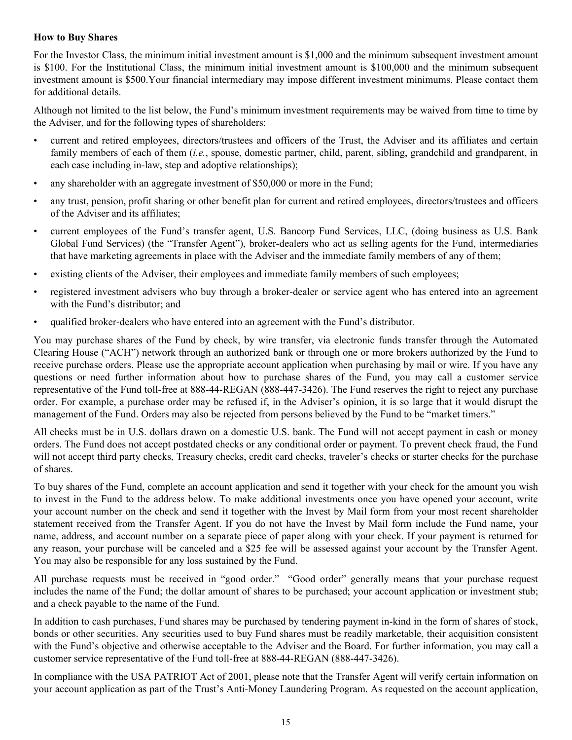## **How to Buy Shares**

For the Investor Class, the minimum initial investment amount is \$1,000 and the minimum subsequent investment amount is \$100. For the Institutional Class, the minimum initial investment amount is \$100,000 and the minimum subsequent investment amount is \$500.Your financial intermediary may impose different investment minimums. Please contact them for additional details.

Although not limited to the list below, the Fund's minimum investment requirements may be waived from time to time by the Adviser, and for the following types of shareholders:

- current and retired employees, directors/trustees and officers of the Trust, the Adviser and its affiliates and certain family members of each of them (*i.e.*, spouse, domestic partner, child, parent, sibling, grandchild and grandparent, in each case including in-law, step and adoptive relationships);
- any shareholder with an aggregate investment of \$50,000 or more in the Fund;
- any trust, pension, profit sharing or other benefit plan for current and retired employees, directors/trustees and officers of the Adviser and its affiliates;
- current employees of the Fund's transfer agent, U.S. Bancorp Fund Services, LLC, (doing business as U.S. Bank Global Fund Services) (the "Transfer Agent"), broker-dealers who act as selling agents for the Fund, intermediaries that have marketing agreements in place with the Adviser and the immediate family members of any of them;
- existing clients of the Adviser, their employees and immediate family members of such employees;
- registered investment advisers who buy through a broker-dealer or service agent who has entered into an agreement with the Fund's distributor; and
- qualified broker-dealers who have entered into an agreement with the Fund's distributor.

You may purchase shares of the Fund by check, by wire transfer, via electronic funds transfer through the Automated Clearing House ("ACH") network through an authorized bank or through one or more brokers authorized by the Fund to receive purchase orders. Please use the appropriate account application when purchasing by mail or wire. If you have any questions or need further information about how to purchase shares of the Fund, you may call a customer service representative of the Fund toll-free at 888-44-REGAN (888-447-3426). The Fund reserves the right to reject any purchase order. For example, a purchase order may be refused if, in the Adviser's opinion, it is so large that it would disrupt the management of the Fund. Orders may also be rejected from persons believed by the Fund to be "market timers."

All checks must be in U.S. dollars drawn on a domestic U.S. bank. The Fund will not accept payment in cash or money orders. The Fund does not accept postdated checks or any conditional order or payment. To prevent check fraud, the Fund will not accept third party checks, Treasury checks, credit card checks, traveler's checks or starter checks for the purchase of shares.

To buy shares of the Fund, complete an account application and send it together with your check for the amount you wish to invest in the Fund to the address below. To make additional investments once you have opened your account, write your account number on the check and send it together with the Invest by Mail form from your most recent shareholder statement received from the Transfer Agent. If you do not have the Invest by Mail form include the Fund name, your name, address, and account number on a separate piece of paper along with your check. If your payment is returned for any reason, your purchase will be canceled and a \$25 fee will be assessed against your account by the Transfer Agent. You may also be responsible for any loss sustained by the Fund.

All purchase requests must be received in "good order." "Good order" generally means that your purchase request includes the name of the Fund; the dollar amount of shares to be purchased; your account application or investment stub; and a check payable to the name of the Fund.

In addition to cash purchases, Fund shares may be purchased by tendering payment in-kind in the form of shares of stock, bonds or other securities. Any securities used to buy Fund shares must be readily marketable, their acquisition consistent with the Fund's objective and otherwise acceptable to the Adviser and the Board. For further information, you may call a customer service representative of the Fund toll-free at 888-44-REGAN (888-447-3426).

In compliance with the USA PATRIOT Act of 2001, please note that the Transfer Agent will verify certain information on your account application as part of the Trust's Anti-Money Laundering Program. As requested on the account application,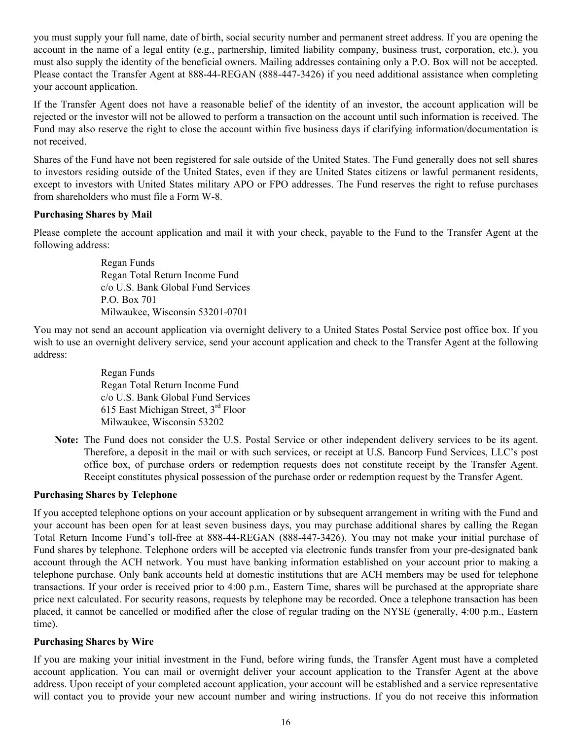you must supply your full name, date of birth, social security number and permanent street address. If you are opening the account in the name of a legal entity (e.g., partnership, limited liability company, business trust, corporation, etc.), you must also supply the identity of the beneficial owners. Mailing addresses containing only a P.O. Box will not be accepted. Please contact the Transfer Agent at 888-44-REGAN (888-447-3426) if you need additional assistance when completing your account application.

If the Transfer Agent does not have a reasonable belief of the identity of an investor, the account application will be rejected or the investor will not be allowed to perform a transaction on the account until such information is received. The Fund may also reserve the right to close the account within five business days if clarifying information/documentation is not received.

Shares of the Fund have not been registered for sale outside of the United States. The Fund generally does not sell shares to investors residing outside of the United States, even if they are United States citizens or lawful permanent residents, except to investors with United States military APO or FPO addresses. The Fund reserves the right to refuse purchases from shareholders who must file a Form W-8.

## **Purchasing Shares by Mail**

Please complete the account application and mail it with your check, payable to the Fund to the Transfer Agent at the following address:

> Regan Funds Regan Total Return Income Fund c/o U.S. Bank Global Fund Services P.O. Box 701 Milwaukee, Wisconsin 53201-0701

You may not send an account application via overnight delivery to a United States Postal Service post office box. If you wish to use an overnight delivery service, send your account application and check to the Transfer Agent at the following address:

> Regan Funds Regan Total Return Income Fund c/o U.S. Bank Global Fund Services 615 East Michigan Street, 3rd Floor Milwaukee, Wisconsin 53202

**Note:** The Fund does not consider the U.S. Postal Service or other independent delivery services to be its agent. Therefore, a deposit in the mail or with such services, or receipt at U.S. Bancorp Fund Services, LLC's post office box, of purchase orders or redemption requests does not constitute receipt by the Transfer Agent. Receipt constitutes physical possession of the purchase order or redemption request by the Transfer Agent.

#### **Purchasing Shares by Telephone**

If you accepted telephone options on your account application or by subsequent arrangement in writing with the Fund and your account has been open for at least seven business days, you may purchase additional shares by calling the Regan Total Return Income Fund's toll-free at 888-44-REGAN (888-447-3426). You may not make your initial purchase of Fund shares by telephone. Telephone orders will be accepted via electronic funds transfer from your pre-designated bank account through the ACH network. You must have banking information established on your account prior to making a telephone purchase. Only bank accounts held at domestic institutions that are ACH members may be used for telephone transactions. If your order is received prior to 4:00 p.m., Eastern Time, shares will be purchased at the appropriate share price next calculated. For security reasons, requests by telephone may be recorded. Once a telephone transaction has been placed, it cannot be cancelled or modified after the close of regular trading on the NYSE (generally, 4:00 p.m., Eastern time).

#### **Purchasing Shares by Wire**

If you are making your initial investment in the Fund, before wiring funds, the Transfer Agent must have a completed account application. You can mail or overnight deliver your account application to the Transfer Agent at the above address. Upon receipt of your completed account application, your account will be established and a service representative will contact you to provide your new account number and wiring instructions. If you do not receive this information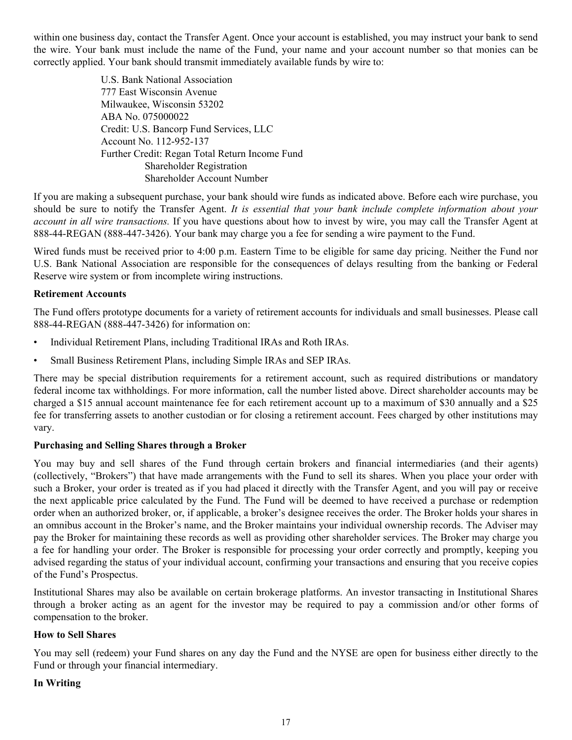within one business day, contact the Transfer Agent. Once your account is established, you may instruct your bank to send the wire. Your bank must include the name of the Fund, your name and your account number so that monies can be correctly applied. Your bank should transmit immediately available funds by wire to:

> U.S. Bank National Association 777 East Wisconsin Avenue Milwaukee, Wisconsin 53202 ABA No. 075000022 Credit: U.S. Bancorp Fund Services, LLC Account No. 112-952-137 Further Credit: Regan Total Return Income Fund Shareholder Registration Shareholder Account Number

If you are making a subsequent purchase, your bank should wire funds as indicated above. Before each wire purchase, you should be sure to notify the Transfer Agent. *It is essential that your bank include complete information about your account in all wire transactions.* If you have questions about how to invest by wire, you may call the Transfer Agent at 888-44-REGAN (888-447-3426). Your bank may charge you a fee for sending a wire payment to the Fund.

Wired funds must be received prior to 4:00 p.m. Eastern Time to be eligible for same day pricing. Neither the Fund nor U.S. Bank National Association are responsible for the consequences of delays resulting from the banking or Federal Reserve wire system or from incomplete wiring instructions.

## **Retirement Accounts**

The Fund offers prototype documents for a variety of retirement accounts for individuals and small businesses. Please call 888-44-REGAN (888-447-3426) for information on:

- Individual Retirement Plans, including Traditional IRAs and Roth IRAs.
- Small Business Retirement Plans, including Simple IRAs and SEP IRAs.

There may be special distribution requirements for a retirement account, such as required distributions or mandatory federal income tax withholdings. For more information, call the number listed above. Direct shareholder accounts may be charged a \$15 annual account maintenance fee for each retirement account up to a maximum of \$30 annually and a \$25 fee for transferring assets to another custodian or for closing a retirement account. Fees charged by other institutions may vary.

#### **Purchasing and Selling Shares through a Broker**

You may buy and sell shares of the Fund through certain brokers and financial intermediaries (and their agents) (collectively, "Brokers") that have made arrangements with the Fund to sell its shares. When you place your order with such a Broker, your order is treated as if you had placed it directly with the Transfer Agent, and you will pay or receive the next applicable price calculated by the Fund. The Fund will be deemed to have received a purchase or redemption order when an authorized broker, or, if applicable, a broker's designee receives the order. The Broker holds your shares in an omnibus account in the Broker's name, and the Broker maintains your individual ownership records. The Adviser may pay the Broker for maintaining these records as well as providing other shareholder services. The Broker may charge you a fee for handling your order. The Broker is responsible for processing your order correctly and promptly, keeping you advised regarding the status of your individual account, confirming your transactions and ensuring that you receive copies of the Fund's Prospectus.

Institutional Shares may also be available on certain brokerage platforms. An investor transacting in Institutional Shares through a broker acting as an agent for the investor may be required to pay a commission and/or other forms of compensation to the broker.

## **How to Sell Shares**

You may sell (redeem) your Fund shares on any day the Fund and the NYSE are open for business either directly to the Fund or through your financial intermediary.

#### **In Writing**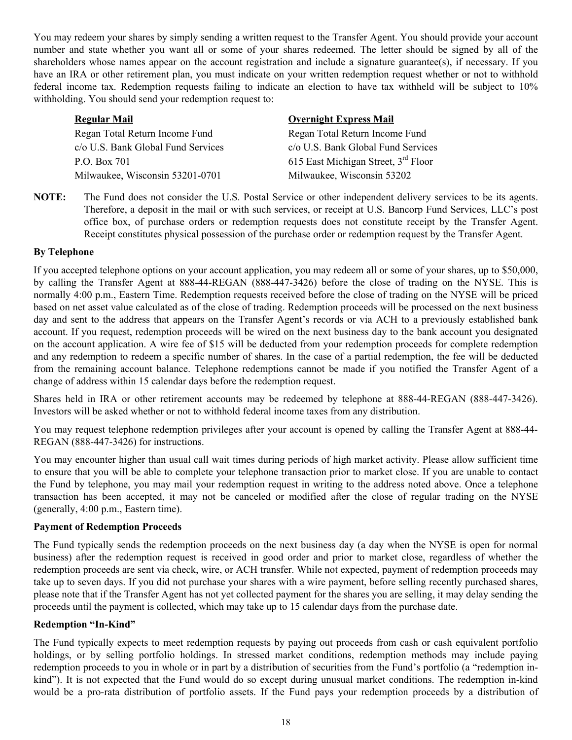You may redeem your shares by simply sending a written request to the Transfer Agent. You should provide your account number and state whether you want all or some of your shares redeemed. The letter should be signed by all of the shareholders whose names appear on the account registration and include a signature guarantee(s), if necessary. If you have an IRA or other retirement plan, you must indicate on your written redemption request whether or not to withhold federal income tax. Redemption requests failing to indicate an election to have tax withheld will be subject to 10% withholding. You should send your redemption request to:

| <b>Regular Mail</b>                | <b>Overnight Express Mail</b>                   |
|------------------------------------|-------------------------------------------------|
| Regan Total Return Income Fund     | Regan Total Return Income Fund                  |
| c/o U.S. Bank Global Fund Services | c/o U.S. Bank Global Fund Services              |
| P.O. Box 701                       | 615 East Michigan Street, 3 <sup>rd</sup> Floor |
| Milwaukee, Wisconsin 53201-0701    | Milwaukee, Wisconsin 53202                      |

**NOTE:** The Fund does not consider the U.S. Postal Service or other independent delivery services to be its agents. Therefore, a deposit in the mail or with such services, or receipt at U.S. Bancorp Fund Services, LLC's post office box, of purchase orders or redemption requests does not constitute receipt by the Transfer Agent. Receipt constitutes physical possession of the purchase order or redemption request by the Transfer Agent.

## **By Telephone**

If you accepted telephone options on your account application, you may redeem all or some of your shares, up to \$50,000, by calling the Transfer Agent at 888-44-REGAN (888-447-3426) before the close of trading on the NYSE. This is normally 4:00 p.m., Eastern Time. Redemption requests received before the close of trading on the NYSE will be priced based on net asset value calculated as of the close of trading. Redemption proceeds will be processed on the next business day and sent to the address that appears on the Transfer Agent's records or via ACH to a previously established bank account. If you request, redemption proceeds will be wired on the next business day to the bank account you designated on the account application. A wire fee of \$15 will be deducted from your redemption proceeds for complete redemption and any redemption to redeem a specific number of shares. In the case of a partial redemption, the fee will be deducted from the remaining account balance. Telephone redemptions cannot be made if you notified the Transfer Agent of a change of address within 15 calendar days before the redemption request.

Shares held in IRA or other retirement accounts may be redeemed by telephone at 888-44-REGAN (888-447-3426). Investors will be asked whether or not to withhold federal income taxes from any distribution.

You may request telephone redemption privileges after your account is opened by calling the Transfer Agent at 888-44- REGAN (888-447-3426) for instructions.

You may encounter higher than usual call wait times during periods of high market activity. Please allow sufficient time to ensure that you will be able to complete your telephone transaction prior to market close. If you are unable to contact the Fund by telephone, you may mail your redemption request in writing to the address noted above. Once a telephone transaction has been accepted, it may not be canceled or modified after the close of regular trading on the NYSE (generally, 4:00 p.m., Eastern time).

#### **Payment of Redemption Proceeds**

The Fund typically sends the redemption proceeds on the next business day (a day when the NYSE is open for normal business) after the redemption request is received in good order and prior to market close, regardless of whether the redemption proceeds are sent via check, wire, or ACH transfer. While not expected, payment of redemption proceeds may take up to seven days. If you did not purchase your shares with a wire payment, before selling recently purchased shares, please note that if the Transfer Agent has not yet collected payment for the shares you are selling, it may delay sending the proceeds until the payment is collected, which may take up to 15 calendar days from the purchase date.

## **Redemption "In-Kind"**

The Fund typically expects to meet redemption requests by paying out proceeds from cash or cash equivalent portfolio holdings, or by selling portfolio holdings. In stressed market conditions, redemption methods may include paying redemption proceeds to you in whole or in part by a distribution of securities from the Fund's portfolio (a "redemption inkind"). It is not expected that the Fund would do so except during unusual market conditions. The redemption in-kind would be a pro-rata distribution of portfolio assets. If the Fund pays your redemption proceeds by a distribution of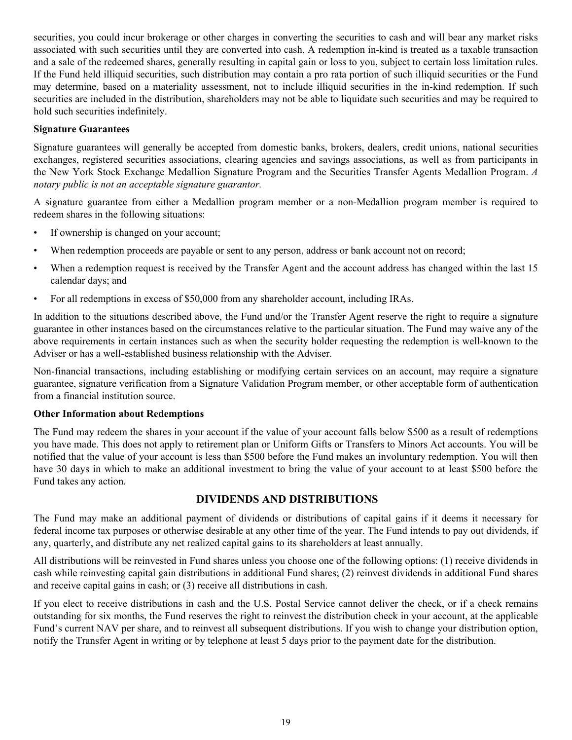<span id="page-20-0"></span>securities, you could incur brokerage or other charges in converting the securities to cash and will bear any market risks associated with such securities until they are converted into cash. A redemption in-kind is treated as a taxable transaction and a sale of the redeemed shares, generally resulting in capital gain or loss to you, subject to certain loss limitation rules. If the Fund held illiquid securities, such distribution may contain a pro rata portion of such illiquid securities or the Fund may determine, based on a materiality assessment, not to include illiquid securities in the in-kind redemption. If such securities are included in the distribution, shareholders may not be able to liquidate such securities and may be required to hold such securities indefinitely.

## **Signature Guarantees**

Signature guarantees will generally be accepted from domestic banks, brokers, dealers, credit unions, national securities exchanges, registered securities associations, clearing agencies and savings associations, as well as from participants in the New York Stock Exchange Medallion Signature Program and the Securities Transfer Agents Medallion Program. *A notary public is not an acceptable signature guarantor.*

A signature guarantee from either a Medallion program member or a non-Medallion program member is required to redeem shares in the following situations:

- If ownership is changed on your account;
- When redemption proceeds are payable or sent to any person, address or bank account not on record;
- When a redemption request is received by the Transfer Agent and the account address has changed within the last 15 calendar days; and
- For all redemptions in excess of \$50,000 from any shareholder account, including IRAs.

In addition to the situations described above, the Fund and/or the Transfer Agent reserve the right to require a signature guarantee in other instances based on the circumstances relative to the particular situation. The Fund may waive any of the above requirements in certain instances such as when the security holder requesting the redemption is well-known to the Adviser or has a well-established business relationship with the Adviser.

Non-financial transactions, including establishing or modifying certain services on an account, may require a signature guarantee, signature verification from a Signature Validation Program member, or other acceptable form of authentication from a financial institution source.

#### **Other Information about Redemptions**

The Fund may redeem the shares in your account if the value of your account falls below \$500 as a result of redemptions you have made. This does not apply to retirement plan or Uniform Gifts or Transfers to Minors Act accounts. You will be notified that the value of your account is less than \$500 before the Fund makes an involuntary redemption. You will then have 30 days in which to make an additional investment to bring the value of your account to at least \$500 before the Fund takes any action.

## **DIVIDENDS AND DISTRIBUTIONS**

The Fund may make an additional payment of dividends or distributions of capital gains if it deems it necessary for federal income tax purposes or otherwise desirable at any other time of the year. The Fund intends to pay out dividends, if any, quarterly, and distribute any net realized capital gains to its shareholders at least annually.

All distributions will be reinvested in Fund shares unless you choose one of the following options: (1) receive dividends in cash while reinvesting capital gain distributions in additional Fund shares; (2) reinvest dividends in additional Fund shares and receive capital gains in cash; or (3) receive all distributions in cash.

If you elect to receive distributions in cash and the U.S. Postal Service cannot deliver the check, or if a check remains outstanding for six months, the Fund reserves the right to reinvest the distribution check in your account, at the applicable Fund's current NAV per share, and to reinvest all subsequent distributions. If you wish to change your distribution option, notify the Transfer Agent in writing or by telephone at least 5 days prior to the payment date for the distribution.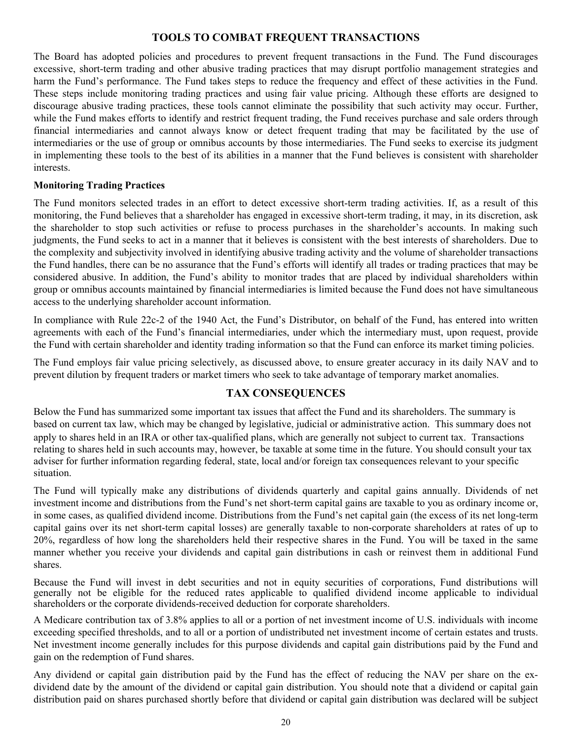## **TOOLS TO COMBAT FREQUENT TRANSACTIONS**

<span id="page-21-0"></span>The Board has adopted policies and procedures to prevent frequent transactions in the Fund. The Fund discourages excessive, short-term trading and other abusive trading practices that may disrupt portfolio management strategies and harm the Fund's performance. The Fund takes steps to reduce the frequency and effect of these activities in the Fund. These steps include monitoring trading practices and using fair value pricing. Although these efforts are designed to discourage abusive trading practices, these tools cannot eliminate the possibility that such activity may occur. Further, while the Fund makes efforts to identify and restrict frequent trading, the Fund receives purchase and sale orders through financial intermediaries and cannot always know or detect frequent trading that may be facilitated by the use of intermediaries or the use of group or omnibus accounts by those intermediaries. The Fund seeks to exercise its judgment in implementing these tools to the best of its abilities in a manner that the Fund believes is consistent with shareholder interests.

## **Monitoring Trading Practices**

The Fund monitors selected trades in an effort to detect excessive short-term trading activities. If, as a result of this monitoring, the Fund believes that a shareholder has engaged in excessive short-term trading, it may, in its discretion, ask the shareholder to stop such activities or refuse to process purchases in the shareholder's accounts. In making such judgments, the Fund seeks to act in a manner that it believes is consistent with the best interests of shareholders. Due to the complexity and subjectivity involved in identifying abusive trading activity and the volume of shareholder transactions the Fund handles, there can be no assurance that the Fund's efforts will identify all trades or trading practices that may be considered abusive. In addition, the Fund's ability to monitor trades that are placed by individual shareholders within group or omnibus accounts maintained by financial intermediaries is limited because the Fund does not have simultaneous access to the underlying shareholder account information.

In compliance with Rule 22c-2 of the 1940 Act, the Fund's Distributor, on behalf of the Fund, has entered into written agreements with each of the Fund's financial intermediaries, under which the intermediary must, upon request, provide the Fund with certain shareholder and identity trading information so that the Fund can enforce its market timing policies.

The Fund employs fair value pricing selectively, as discussed above, to ensure greater accuracy in its daily NAV and to prevent dilution by frequent traders or market timers who seek to take advantage of temporary market anomalies.

## **TAX CONSEQUENCES**

Below the Fund has summarized some important tax issues that affect the Fund and its shareholders. The summary is based on current tax law, which may be changed by legislative, judicial or administrative action. This summary does not apply to shares held in an IRA or other tax-qualified plans, which are generally not subject to current tax. Transactions relating to shares held in such accounts may, however, be taxable at some time in the future. You should consult your tax adviser for further information regarding federal, state, local and/or foreign tax consequences relevant to your specific situation.

The Fund will typically make any distributions of dividends quarterly and capital gains annually. Dividends of net investment income and distributions from the Fund's net short-term capital gains are taxable to you as ordinary income or, in some cases, as qualified dividend income. Distributions from the Fund's net capital gain (the excess of its net long-term capital gains over its net short-term capital losses) are generally taxable to non-corporate shareholders at rates of up to 20%, regardless of how long the shareholders held their respective shares in the Fund. You will be taxed in the same manner whether you receive your dividends and capital gain distributions in cash or reinvest them in additional Fund shares.

Because the Fund will invest in debt securities and not in equity securities of corporations, Fund distributions will generally not be eligible for the reduced rates applicable to qualified dividend income applicable to individual shareholders or the corporate dividends-received deduction for corporate shareholders.

A Medicare contribution tax of 3.8% applies to all or a portion of net investment income of U.S. individuals with income exceeding specified thresholds, and to all or a portion of undistributed net investment income of certain estates and trusts. Net investment income generally includes for this purpose dividends and capital gain distributions paid by the Fund and gain on the redemption of Fund shares.

Any dividend or capital gain distribution paid by the Fund has the effect of reducing the NAV per share on the exdividend date by the amount of the dividend or capital gain distribution. You should note that a dividend or capital gain distribution paid on shares purchased shortly before that dividend or capital gain distribution was declared will be subject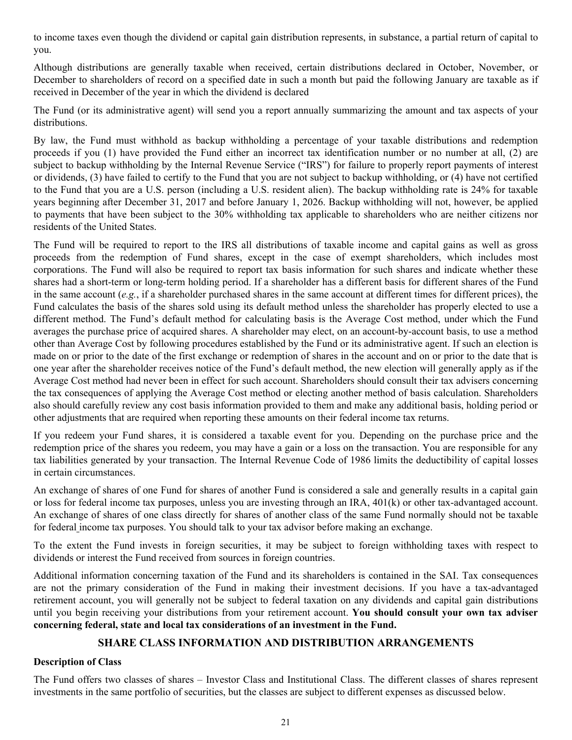<span id="page-22-0"></span>to income taxes even though the dividend or capital gain distribution represents, in substance, a partial return of capital to you.

Although distributions are generally taxable when received, certain distributions declared in October, November, or December to shareholders of record on a specified date in such a month but paid the following January are taxable as if received in December of the year in which the dividend is declared

The Fund (or its administrative agent) will send you a report annually summarizing the amount and tax aspects of your distributions.

By law, the Fund must withhold as backup withholding a percentage of your taxable distributions and redemption proceeds if you (1) have provided the Fund either an incorrect tax identification number or no number at all, (2) are subject to backup withholding by the Internal Revenue Service ("IRS") for failure to properly report payments of interest or dividends, (3) have failed to certify to the Fund that you are not subject to backup withholding, or (4) have not certified to the Fund that you are a U.S. person (including a U.S. resident alien). The backup withholding rate is 24% for taxable years beginning after December 31, 2017 and before January 1, 2026. Backup withholding will not, however, be applied to payments that have been subject to the 30% withholding tax applicable to shareholders who are neither citizens nor residents of the United States.

The Fund will be required to report to the IRS all distributions of taxable income and capital gains as well as gross proceeds from the redemption of Fund shares, except in the case of exempt shareholders, which includes most corporations. The Fund will also be required to report tax basis information for such shares and indicate whether these shares had a short-term or long-term holding period. If a shareholder has a different basis for different shares of the Fund in the same account (*e.g.*, if a shareholder purchased shares in the same account at different times for different prices), the Fund calculates the basis of the shares sold using its default method unless the shareholder has properly elected to use a different method. The Fund's default method for calculating basis is the Average Cost method, under which the Fund averages the purchase price of acquired shares. A shareholder may elect, on an account-by-account basis, to use a method other than Average Cost by following procedures established by the Fund or its administrative agent. If such an election is made on or prior to the date of the first exchange or redemption of shares in the account and on or prior to the date that is one year after the shareholder receives notice of the Fund's default method, the new election will generally apply as if the Average Cost method had never been in effect for such account. Shareholders should consult their tax advisers concerning the tax consequences of applying the Average Cost method or electing another method of basis calculation. Shareholders also should carefully review any cost basis information provided to them and make any additional basis, holding period or other adjustments that are required when reporting these amounts on their federal income tax returns.

If you redeem your Fund shares, it is considered a taxable event for you. Depending on the purchase price and the redemption price of the shares you redeem, you may have a gain or a loss on the transaction. You are responsible for any tax liabilities generated by your transaction. The Internal Revenue Code of 1986 limits the deductibility of capital losses in certain circumstances.

An exchange of shares of one Fund for shares of another Fund is considered a sale and generally results in a capital gain or loss for federal income tax purposes, unless you are investing through an IRA, 401(k) or other tax-advantaged account. An exchange of shares of one class directly for shares of another class of the same Fund normally should not be taxable for federal income tax purposes. You should talk to your tax advisor before making an exchange.

To the extent the Fund invests in foreign securities, it may be subject to foreign withholding taxes with respect to dividends or interest the Fund received from sources in foreign countries.

Additional information concerning taxation of the Fund and its shareholders is contained in the SAI. Tax consequences are not the primary consideration of the Fund in making their investment decisions. If you have a tax-advantaged retirement account, you will generally not be subject to federal taxation on any dividends and capital gain distributions until you begin receiving your distributions from your retirement account. **You should consult your own tax adviser concerning federal, state and local tax considerations of an investment in the Fund.** 

## **SHARE CLASS INFORMATION AND DISTRIBUTION ARRANGEMENTS**

## **Description of Class**

The Fund offers two classes of shares – Investor Class and Institutional Class. The different classes of shares represent investments in the same portfolio of securities, but the classes are subject to different expenses as discussed below.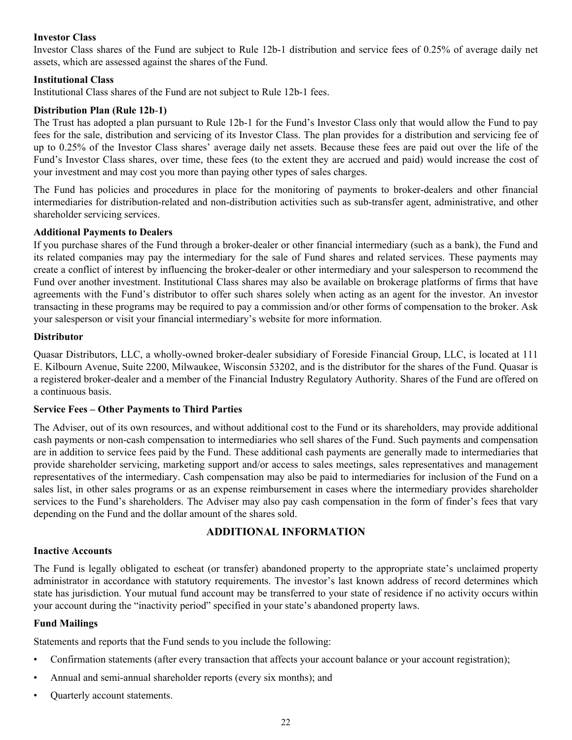## <span id="page-23-0"></span>**Investor Class**

Investor Class shares of the Fund are subject to Rule 12b-1 distribution and service fees of 0.25% of average daily net assets, which are assessed against the shares of the Fund.

#### **Institutional Class**

Institutional Class shares of the Fund are not subject to Rule 12b-1 fees.

## **Distribution Plan (Rule 12b**‑**1)**

The Trust has adopted a plan pursuant to Rule 12b-1 for the Fund's Investor Class only that would allow the Fund to pay fees for the sale, distribution and servicing of its Investor Class. The plan provides for a distribution and servicing fee of up to 0.25% of the Investor Class shares' average daily net assets. Because these fees are paid out over the life of the Fund's Investor Class shares, over time, these fees (to the extent they are accrued and paid) would increase the cost of your investment and may cost you more than paying other types of sales charges.

The Fund has policies and procedures in place for the monitoring of payments to broker-dealers and other financial intermediaries for distribution-related and non-distribution activities such as sub-transfer agent, administrative, and other shareholder servicing services.

#### **Additional Payments to Dealers**

If you purchase shares of the Fund through a broker-dealer or other financial intermediary (such as a bank), the Fund and its related companies may pay the intermediary for the sale of Fund shares and related services. These payments may create a conflict of interest by influencing the broker-dealer or other intermediary and your salesperson to recommend the Fund over another investment. Institutional Class shares may also be available on brokerage platforms of firms that have agreements with the Fund's distributor to offer such shares solely when acting as an agent for the investor. An investor transacting in these programs may be required to pay a commission and/or other forms of compensation to the broker. Ask your salesperson or visit your financial intermediary's website for more information.

## **Distributor**

Quasar Distributors, LLC, a wholly-owned broker-dealer subsidiary of Foreside Financial Group, LLC, is located at 111 E. Kilbourn Avenue, Suite 2200, Milwaukee, Wisconsin 53202, and is the distributor for the shares of the Fund. Quasar is a registered broker-dealer and a member of the Financial Industry Regulatory Authority. Shares of the Fund are offered on a continuous basis.

#### **Service Fees – Other Payments to Third Parties**

The Adviser, out of its own resources, and without additional cost to the Fund or its shareholders, may provide additional cash payments or non-cash compensation to intermediaries who sell shares of the Fund. Such payments and compensation are in addition to service fees paid by the Fund. These additional cash payments are generally made to intermediaries that provide shareholder servicing, marketing support and/or access to sales meetings, sales representatives and management representatives of the intermediary. Cash compensation may also be paid to intermediaries for inclusion of the Fund on a sales list, in other sales programs or as an expense reimbursement in cases where the intermediary provides shareholder services to the Fund's shareholders. The Adviser may also pay cash compensation in the form of finder's fees that vary depending on the Fund and the dollar amount of the shares sold.

## **ADDITIONAL INFORMATION**

#### **Inactive Accounts**

The Fund is legally obligated to escheat (or transfer) abandoned property to the appropriate state's unclaimed property administrator in accordance with statutory requirements. The investor's last known address of record determines which state has jurisdiction. Your mutual fund account may be transferred to your state of residence if no activity occurs within your account during the "inactivity period" specified in your state's abandoned property laws.

#### **Fund Mailings**

Statements and reports that the Fund sends to you include the following:

- Confirmation statements (after every transaction that affects your account balance or your account registration);
- Annual and semi-annual shareholder reports (every six months); and
- Quarterly account statements.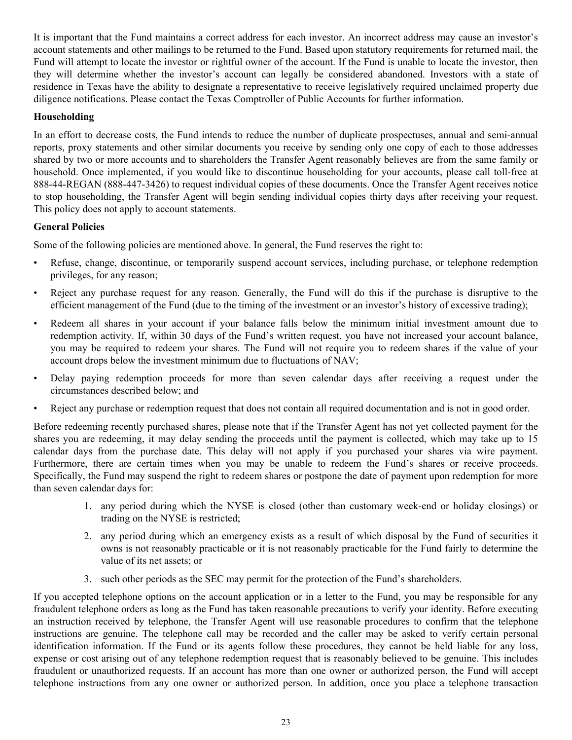It is important that the Fund maintains a correct address for each investor. An incorrect address may cause an investor's account statements and other mailings to be returned to the Fund. Based upon statutory requirements for returned mail, the Fund will attempt to locate the investor or rightful owner of the account. If the Fund is unable to locate the investor, then they will determine whether the investor's account can legally be considered abandoned. Investors with a state of residence in Texas have the ability to designate a representative to receive legislatively required unclaimed property due diligence notifications. Please contact the Texas Comptroller of Public Accounts for further information.

## **Householding**

In an effort to decrease costs, the Fund intends to reduce the number of duplicate prospectuses, annual and semi-annual reports, proxy statements and other similar documents you receive by sending only one copy of each to those addresses shared by two or more accounts and to shareholders the Transfer Agent reasonably believes are from the same family or household. Once implemented, if you would like to discontinue householding for your accounts, please call toll-free at 888-44-REGAN (888-447-3426) to request individual copies of these documents. Once the Transfer Agent receives notice to stop householding, the Transfer Agent will begin sending individual copies thirty days after receiving your request. This policy does not apply to account statements.

## **General Policies**

Some of the following policies are mentioned above. In general, the Fund reserves the right to:

- Refuse, change, discontinue, or temporarily suspend account services, including purchase, or telephone redemption privileges, for any reason;
- Reject any purchase request for any reason. Generally, the Fund will do this if the purchase is disruptive to the efficient management of the Fund (due to the timing of the investment or an investor's history of excessive trading);
- Redeem all shares in your account if your balance falls below the minimum initial investment amount due to redemption activity. If, within 30 days of the Fund's written request, you have not increased your account balance, you may be required to redeem your shares. The Fund will not require you to redeem shares if the value of your account drops below the investment minimum due to fluctuations of NAV;
- Delay paying redemption proceeds for more than seven calendar days after receiving a request under the circumstances described below; and
- Reject any purchase or redemption request that does not contain all required documentation and is not in good order.

Before redeeming recently purchased shares, please note that if the Transfer Agent has not yet collected payment for the shares you are redeeming, it may delay sending the proceeds until the payment is collected, which may take up to 15 calendar days from the purchase date. This delay will not apply if you purchased your shares via wire payment. Furthermore, there are certain times when you may be unable to redeem the Fund's shares or receive proceeds. Specifically, the Fund may suspend the right to redeem shares or postpone the date of payment upon redemption for more than seven calendar days for:

- 1. any period during which the NYSE is closed (other than customary week-end or holiday closings) or trading on the NYSE is restricted;
- 2. any period during which an emergency exists as a result of which disposal by the Fund of securities it owns is not reasonably practicable or it is not reasonably practicable for the Fund fairly to determine the value of its net assets; or
- 3. such other periods as the SEC may permit for the protection of the Fund's shareholders.

If you accepted telephone options on the account application or in a letter to the Fund, you may be responsible for any fraudulent telephone orders as long as the Fund has taken reasonable precautions to verify your identity. Before executing an instruction received by telephone, the Transfer Agent will use reasonable procedures to confirm that the telephone instructions are genuine. The telephone call may be recorded and the caller may be asked to verify certain personal identification information. If the Fund or its agents follow these procedures, they cannot be held liable for any loss, expense or cost arising out of any telephone redemption request that is reasonably believed to be genuine. This includes fraudulent or unauthorized requests. If an account has more than one owner or authorized person, the Fund will accept telephone instructions from any one owner or authorized person. In addition, once you place a telephone transaction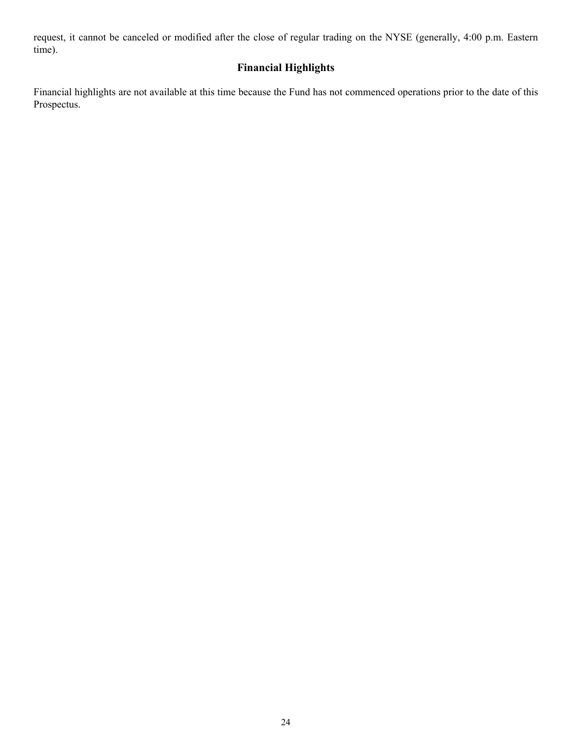<span id="page-25-0"></span>request, it cannot be canceled or modified after the close of regular trading on the NYSE (generally, 4:00 p.m. Eastern time).

## **Financial Highlights**

Financial highlights are not available at this time because the Fund has not commenced operations prior to the date of this Prospectus.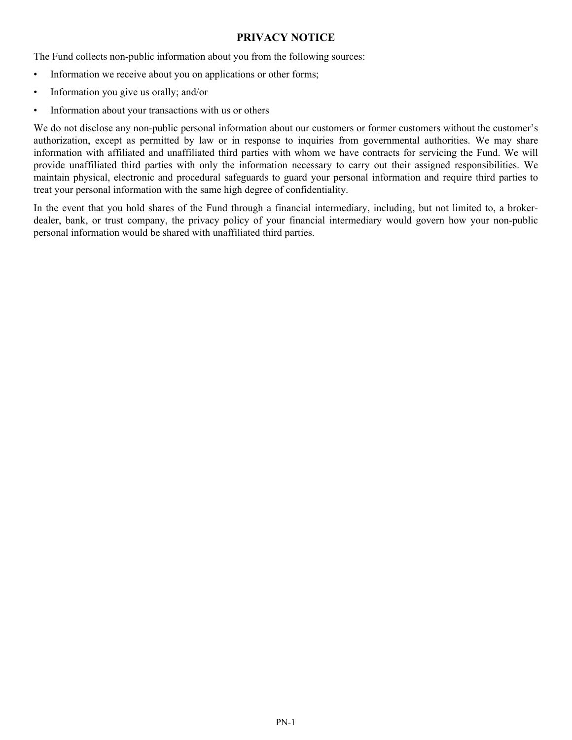## **PRIVACY NOTICE**

<span id="page-26-0"></span>The Fund collects non-public information about you from the following sources:

- Information we receive about you on applications or other forms;
- Information you give us orally; and/or
- Information about your transactions with us or others

We do not disclose any non-public personal information about our customers or former customers without the customer's authorization, except as permitted by law or in response to inquiries from governmental authorities. We may share information with affiliated and unaffiliated third parties with whom we have contracts for servicing the Fund. We will provide unaffiliated third parties with only the information necessary to carry out their assigned responsibilities. We maintain physical, electronic and procedural safeguards to guard your personal information and require third parties to treat your personal information with the same high degree of confidentiality.

In the event that you hold shares of the Fund through a financial intermediary, including, but not limited to, a brokerdealer, bank, or trust company, the privacy policy of your financial intermediary would govern how your non-public personal information would be shared with unaffiliated third parties.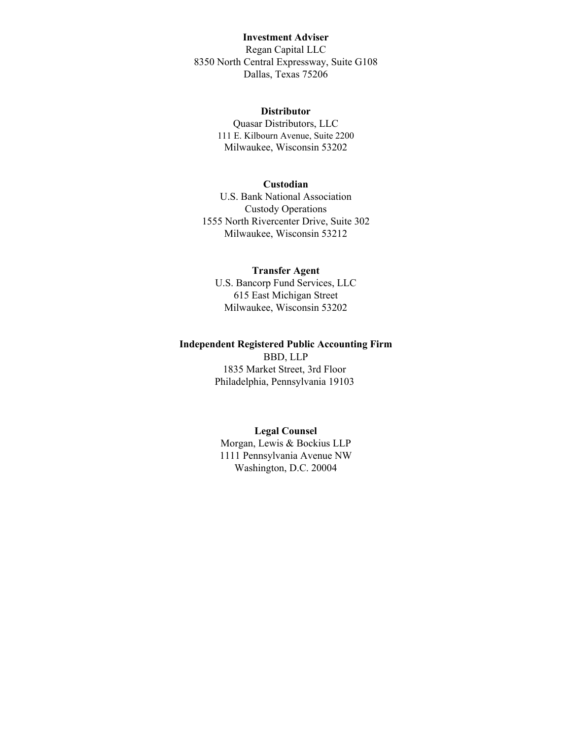## **Investment Adviser**

Regan Capital LLC 8350 North Central Expressway, Suite G108 Dallas, Texas 75206

#### **Distributor**

Quasar Distributors, LLC 111 E. Kilbourn Avenue, Suite 2200 Milwaukee, Wisconsin 53202

#### **Custodian**

U.S. Bank National Association Custody Operations 1555 North Rivercenter Drive, Suite 302 Milwaukee, Wisconsin 53212

#### **Transfer Agent**

U.S. Bancorp Fund Services, LLC 615 East Michigan Street Milwaukee, Wisconsin 53202

#### **Independent Registered Public Accounting Firm**

BBD, LLP 1835 Market Street, 3rd Floor Philadelphia, Pennsylvania 19103

#### **Legal Counsel**

Morgan, Lewis & Bockius LLP 1111 Pennsylvania Avenue NW Washington, D.C. 20004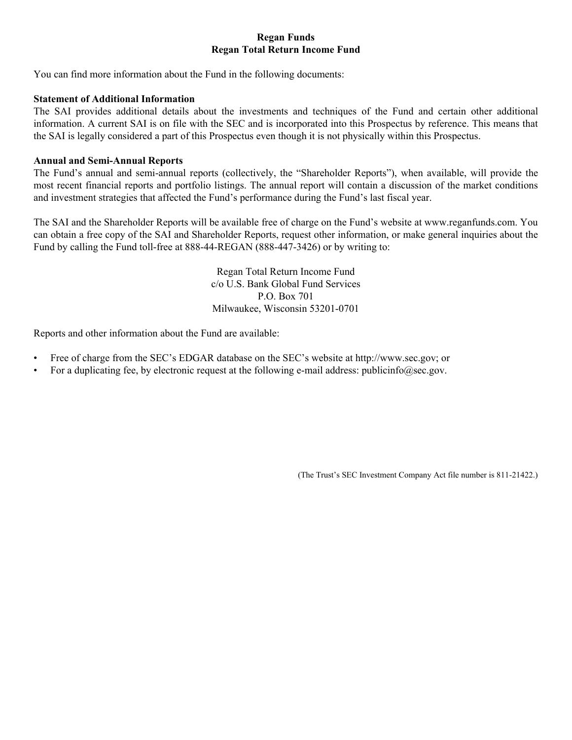## **Regan Funds Regan Total Return Income Fund**

You can find more information about the Fund in the following documents:

### **Statement of Additional Information**

The SAI provides additional details about the investments and techniques of the Fund and certain other additional information. A current SAI is on file with the SEC and is incorporated into this Prospectus by reference. This means that the SAI is legally considered a part of this Prospectus even though it is not physically within this Prospectus.

### **Annual and Semi-Annual Reports**

The Fund's annual and semi-annual reports (collectively, the "Shareholder Reports"), when available, will provide the most recent financial reports and portfolio listings. The annual report will contain a discussion of the market conditions and investment strategies that affected the Fund's performance during the Fund's last fiscal year.

The SAI and the Shareholder Reports will be available free of charge on the Fund's website at www.reganfunds.com. You can obtain a free copy of the SAI and Shareholder Reports, request other information, or make general inquiries about the Fund by calling the Fund toll-free at 888-44-REGAN (888-447-3426) or by writing to:

> Regan Total Return Income Fund c/o U.S. Bank Global Fund Services P.O. Box 701 Milwaukee, Wisconsin 53201-0701

Reports and other information about the Fund are available:

- Free of charge from the SEC's EDGAR database on the SEC's website at http://www.sec.gov; or
- For a duplicating fee, by electronic request at the following e-mail address: publicinfo@sec.gov.

(The Trust's SEC Investment Company Act file number is 811‑21422.)